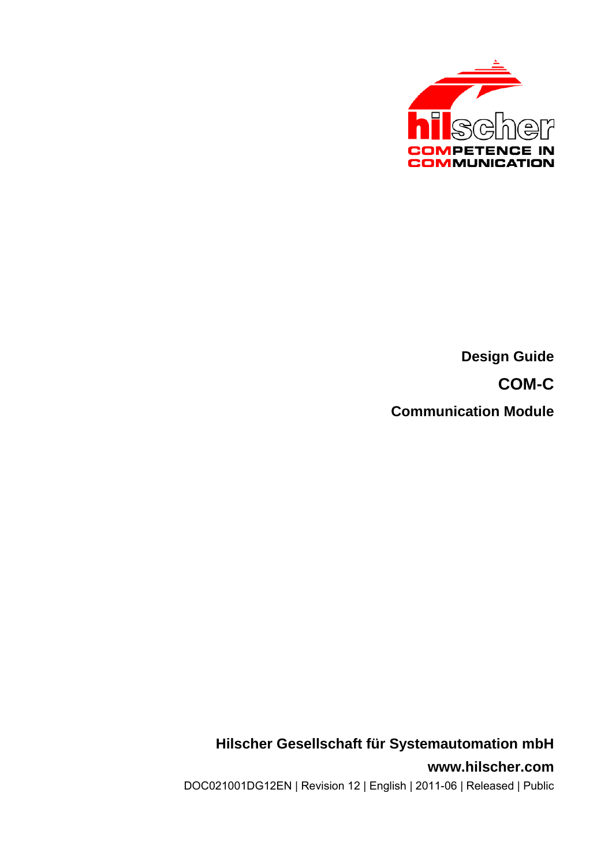

**Design Guide COM-C Communication Module** 

**Hilscher Gesellschaft für Systemautomation mbH** 

**www.hilscher.com**  DOC021001DG12EN | Revision 12 | English | 2011-06 | Released | Public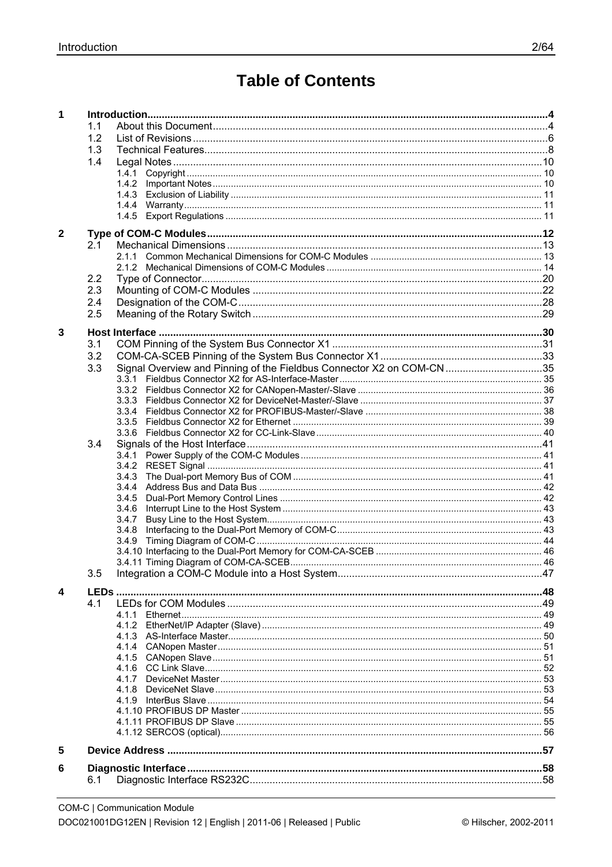# **Table of Contents**

| 1           |     |                                                                       |  |
|-------------|-----|-----------------------------------------------------------------------|--|
|             | 1.1 |                                                                       |  |
|             | 1.2 |                                                                       |  |
|             | 1.3 |                                                                       |  |
|             | 1.4 |                                                                       |  |
|             |     |                                                                       |  |
|             |     |                                                                       |  |
|             |     |                                                                       |  |
|             |     |                                                                       |  |
|             |     |                                                                       |  |
|             |     |                                                                       |  |
| $\mathbf 2$ |     |                                                                       |  |
|             | 2.1 |                                                                       |  |
|             |     |                                                                       |  |
|             |     |                                                                       |  |
|             | 2.2 |                                                                       |  |
|             | 2.3 |                                                                       |  |
|             | 2.4 |                                                                       |  |
|             | 2.5 |                                                                       |  |
|             |     |                                                                       |  |
| 3           |     |                                                                       |  |
|             | 3.1 |                                                                       |  |
|             | 3.2 |                                                                       |  |
|             | 3.3 | Signal Overview and Pinning of the Fieldbus Connector X2 on COM-CN 35 |  |
|             |     |                                                                       |  |
|             |     |                                                                       |  |
|             |     |                                                                       |  |
|             |     |                                                                       |  |
|             |     |                                                                       |  |
|             |     |                                                                       |  |
|             | 3.4 |                                                                       |  |
|             |     |                                                                       |  |
|             |     |                                                                       |  |
|             |     |                                                                       |  |
|             |     |                                                                       |  |
|             |     |                                                                       |  |
|             |     |                                                                       |  |
|             |     |                                                                       |  |
|             |     |                                                                       |  |
|             |     |                                                                       |  |
|             |     |                                                                       |  |
|             |     |                                                                       |  |
|             | 3.5 |                                                                       |  |
| 4           |     |                                                                       |  |
|             | 4.1 |                                                                       |  |
|             |     | 4.1.1                                                                 |  |
|             |     |                                                                       |  |
|             |     |                                                                       |  |
|             |     |                                                                       |  |
|             |     |                                                                       |  |
|             |     |                                                                       |  |
|             |     | 4.1.7                                                                 |  |
|             |     |                                                                       |  |
|             |     |                                                                       |  |
|             |     |                                                                       |  |
|             |     |                                                                       |  |
|             |     |                                                                       |  |
|             |     |                                                                       |  |
| 5           |     |                                                                       |  |
| 6           |     |                                                                       |  |
|             | 6.1 |                                                                       |  |
|             |     |                                                                       |  |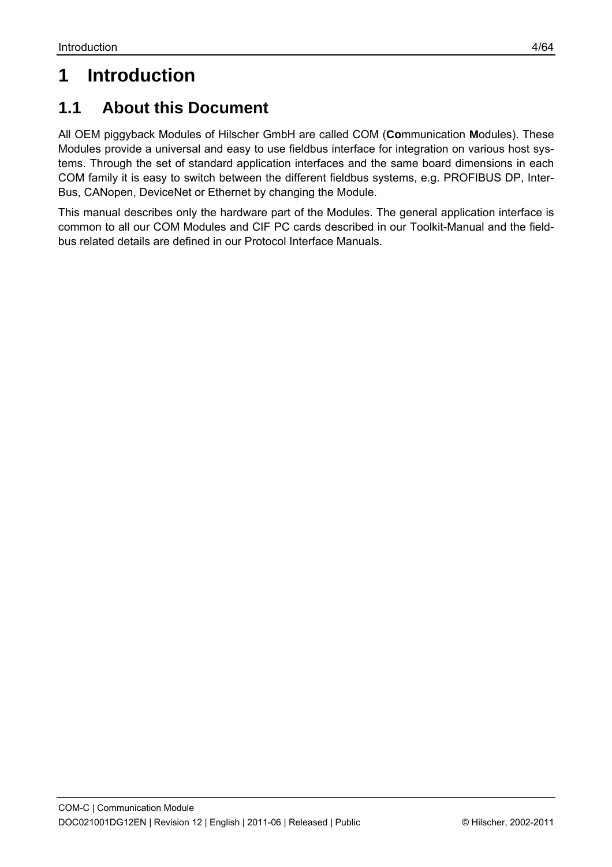# <span id="page-3-0"></span>**1 Introduction**

# **1.1 About this Document**

All OEM piggyback Modules of Hilscher GmbH are called COM (**Co**mmunication **M**odules). These Modules provide a universal and easy to use fieldbus interface for integration on various host systems. Through the set of standard application interfaces and the same board dimensions in each COM family it is easy to switch between the different fieldbus systems, e.g. PROFIBUS DP, Inter-Bus, CANopen, DeviceNet or Ethernet by changing the Module.

This manual describes only the hardware part of the Modules. The general application interface is common to all our COM Modules and CIF PC cards described in our Toolkit-Manual and the fieldbus related details are defined in our Protocol Interface Manuals.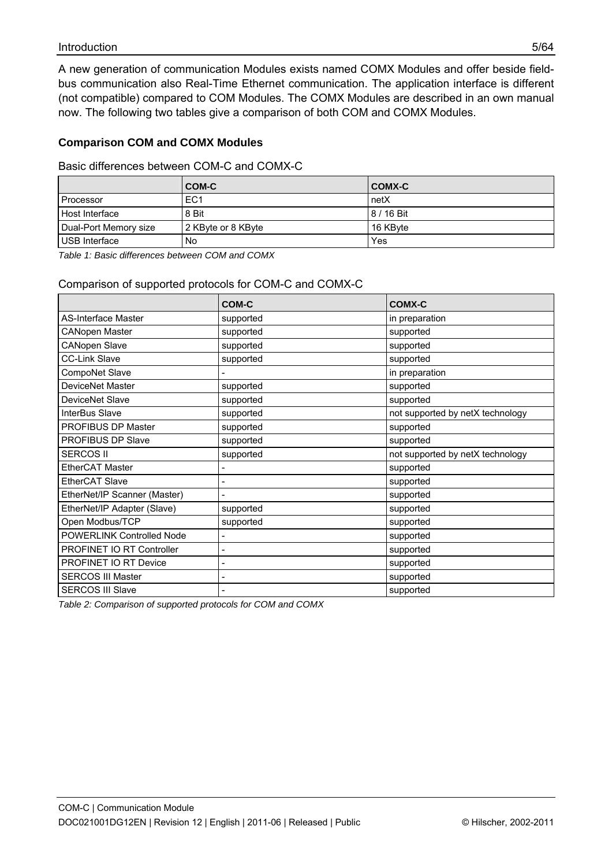<span id="page-4-0"></span>A new generation of communication Modules exists named COMX Modules and offer beside fieldbus communication also Real-Time Ethernet communication. The application interface is different (not compatible) compared to COM Modules. The COMX Modules are described in an own manual now. The following two tables give a comparison of both COM and COMX Modules.

#### **Comparison COM and COMX Modules**

Basic differences between COM-C and COMX-C

|                       | <b>COM-C</b>         | <b>COMX-C</b> |
|-----------------------|----------------------|---------------|
| Processor             | EC <sub>1</sub>      | netX          |
| Host Interface        | 8 Bit                | l 8 / 16 Bit  |
| Dual-Port Memory size | l 2 KByte or 8 KByte | 16 KByte      |
| USB Interface         | No                   | Yes           |

*Table 1: Basic differences between COM and COMX* 

#### Comparison of supported protocols for COM-C and COMX-C

|                              | COM-C     | <b>COMX-C</b>                    |
|------------------------------|-----------|----------------------------------|
| <b>AS-Interface Master</b>   | supported | in preparation                   |
| <b>CANopen Master</b>        | supported | supported                        |
| <b>CANopen Slave</b>         | supported | supported                        |
| <b>CC-Link Slave</b>         | supported | supported                        |
| CompoNet Slave               |           | in preparation                   |
| DeviceNet Master             | supported | supported                        |
| DeviceNet Slave              | supported | supported                        |
| InterBus Slave               | supported | not supported by netX technology |
| <b>PROFIBUS DP Master</b>    | supported | supported                        |
| PROFIBUS DP Slave            | supported | supported                        |
| <b>SERCOS II</b>             | supported | not supported by netX technology |
| <b>EtherCAT Master</b>       |           | supported                        |
| <b>EtherCAT Slave</b>        |           | supported                        |
| EtherNet/IP Scanner (Master) |           | supported                        |
| EtherNet/IP Adapter (Slave)  | supported | supported                        |
| Open Modbus/TCP              | supported | supported                        |
| POWERLINK Controlled Node    |           | supported                        |
| PROFINET IO RT Controller    |           | supported                        |
| PROFINET IO RT Device        |           | supported                        |
| <b>SERCOS III Master</b>     |           | supported                        |
| <b>SERCOS III Slave</b>      |           | supported                        |

*Table 2: Comparison of supported protocols for COM and COMX*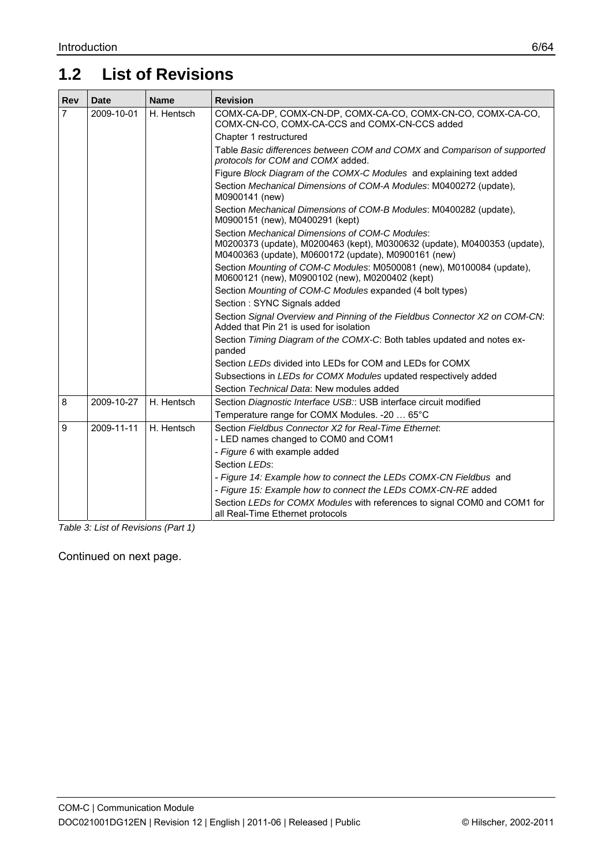# <span id="page-5-0"></span>**1.2 List of Revisions**

| Rev            | <b>Date</b> | <b>Name</b> | <b>Revision</b>                                                                                                                                                                      |
|----------------|-------------|-------------|--------------------------------------------------------------------------------------------------------------------------------------------------------------------------------------|
| $\overline{7}$ | 2009-10-01  | H. Hentsch  | COMX-CA-DP, COMX-CN-DP, COMX-CA-CO, COMX-CN-CO, COMX-CA-CO,<br>COMX-CN-CO, COMX-CA-CCS and COMX-CN-CCS added                                                                         |
|                |             |             | Chapter 1 restructured                                                                                                                                                               |
|                |             |             | Table Basic differences between COM and COMX and Comparison of supported<br>protocols for COM and COMX added.                                                                        |
|                |             |             | Figure Block Diagram of the COMX-C Modules and explaining text added                                                                                                                 |
|                |             |             | Section Mechanical Dimensions of COM-A Modules: M0400272 (update),<br>M0900141 (new)                                                                                                 |
|                |             |             | Section Mechanical Dimensions of COM-B Modules: M0400282 (update),<br>M0900151 (new), M0400291 (kept)                                                                                |
|                |             |             | Section Mechanical Dimensions of COM-C Modules:<br>M0200373 (update), M0200463 (kept), M0300632 (update), M0400353 (update),<br>M0400363 (update), M0600172 (update), M0900161 (new) |
|                |             |             | Section Mounting of COM-C Modules: M0500081 (new), M0100084 (update),<br>M0600121 (new), M0900102 (new), M0200402 (kept)                                                             |
|                |             |             | Section Mounting of COM-C Modules expanded (4 bolt types)                                                                                                                            |
|                |             |             | Section: SYNC Signals added                                                                                                                                                          |
|                |             |             | Section Signal Overview and Pinning of the Fieldbus Connector X2 on COM-CN:<br>Added that Pin 21 is used for isolation                                                               |
|                |             |             | Section Timing Diagram of the COMX-C: Both tables updated and notes ex-<br>panded                                                                                                    |
|                |             |             | Section LEDs divided into LEDs for COM and LEDs for COMX                                                                                                                             |
|                |             |             | Subsections in LEDs for COMX Modules updated respectively added                                                                                                                      |
|                |             |             | Section Technical Data: New modules added                                                                                                                                            |
| 8              | 2009-10-27  | H. Hentsch  | Section Diagnostic Interface USB:: USB interface circuit modified                                                                                                                    |
|                |             |             | Temperature range for COMX Modules. -20  65°C                                                                                                                                        |
| 9              | 2009-11-11  | H. Hentsch  | Section Fieldbus Connector X2 for Real-Time Ethernet.<br>- LED names changed to COM0 and COM1                                                                                        |
|                |             |             | - Figure 6 with example added                                                                                                                                                        |
|                |             |             | Section LEDs:                                                                                                                                                                        |
|                |             |             | - Figure 14: Example how to connect the LEDs COMX-CN Fieldbus and                                                                                                                    |
|                |             |             | - Figure 15: Example how to connect the LEDs COMX-CN-RE added                                                                                                                        |
|                |             |             | Section LEDs for COMX Modules with references to signal COM0 and COM1 for<br>all Real-Time Ethernet protocols                                                                        |

*Table 3: List of Revisions (Part 1)* 

Continued on next page.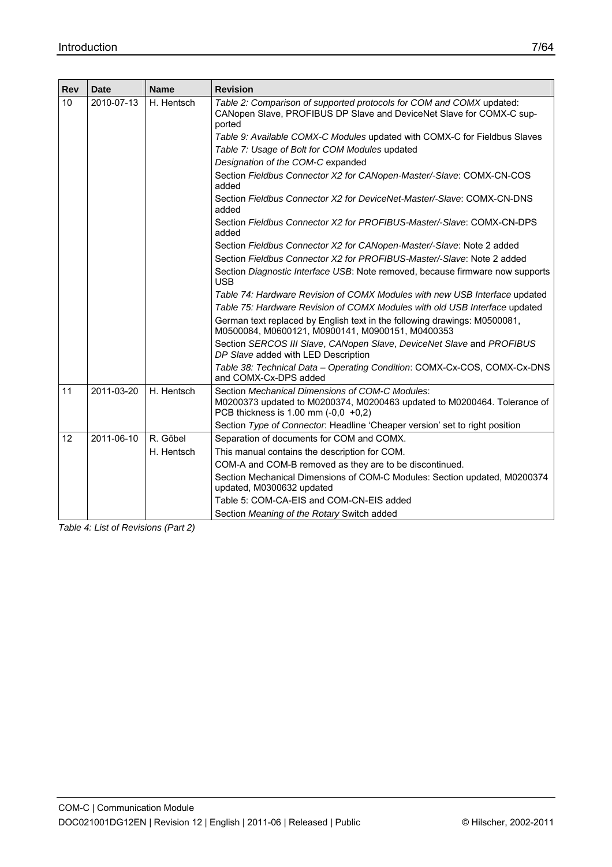<span id="page-6-0"></span>

| <b>Rev</b> | <b>Date</b> | <b>Name</b> | <b>Revision</b>                                                                                                                                                       |
|------------|-------------|-------------|-----------------------------------------------------------------------------------------------------------------------------------------------------------------------|
| 10         | 2010-07-13  | H. Hentsch  | Table 2: Comparison of supported protocols for COM and COMX updated:<br>CANopen Slave, PROFIBUS DP Slave and DeviceNet Slave for COMX-C sup-<br>ported                |
|            |             |             | Table 9: Available COMX-C Modules updated with COMX-C for Fieldbus Slaves                                                                                             |
|            |             |             | Table 7: Usage of Bolt for COM Modules updated                                                                                                                        |
|            |             |             | Designation of the COM-C expanded                                                                                                                                     |
|            |             |             | Section Fieldbus Connector X2 for CANopen-Master/-Slave: COMX-CN-COS<br>added                                                                                         |
|            |             |             | Section Fieldbus Connector X2 for DeviceNet-Master/-Slave: COMX-CN-DNS<br>added                                                                                       |
|            |             |             | Section Fieldbus Connector X2 for PROFIBUS-Master/-Slave: COMX-CN-DPS<br>added                                                                                        |
|            |             |             | Section Fieldbus Connector X2 for CANopen-Master/-Slave: Note 2 added                                                                                                 |
|            |             |             | Section Fieldbus Connector X2 for PROFIBUS-Master/-Slave: Note 2 added                                                                                                |
|            |             |             | Section Diagnostic Interface USB: Note removed, because firmware now supports<br><b>USB</b>                                                                           |
|            |             |             | Table 74: Hardware Revision of COMX Modules with new USB Interface updated                                                                                            |
|            |             |             | Table 75: Hardware Revision of COMX Modules with old USB Interface updated                                                                                            |
|            |             |             | German text replaced by English text in the following drawings: M0500081,<br>M0500084, M0600121, M0900141, M0900151, M0400353                                         |
|            |             |             | Section SERCOS III Slave, CANopen Slave, DeviceNet Slave and PROFIBUS<br>DP Slave added with LED Description                                                          |
|            |             |             | Table 38: Technical Data - Operating Condition: COMX-Cx-COS, COMX-Cx-DNS<br>and COMX-Cx-DPS added                                                                     |
| 11         | 2011-03-20  | H. Hentsch  | Section Mechanical Dimensions of COM-C Modules:<br>M0200373 updated to M0200374, M0200463 updated to M0200464. Tolerance of<br>PCB thickness is 1.00 mm $(-0.0 +0.2)$ |
|            |             |             | Section Type of Connector. Headline 'Cheaper version' set to right position                                                                                           |
| 12         | 2011-06-10  | R. Göbel    | Separation of documents for COM and COMX.                                                                                                                             |
|            |             | H. Hentsch  | This manual contains the description for COM.                                                                                                                         |
|            |             |             | COM-A and COM-B removed as they are to be discontinued.                                                                                                               |
|            |             |             | Section Mechanical Dimensions of COM-C Modules: Section updated, M0200374<br>updated, M0300632 updated                                                                |
|            |             |             | Table 5: COM-CA-EIS and COM-CN-EIS added                                                                                                                              |
|            |             |             | Section Meaning of the Rotary Switch added                                                                                                                            |

*Table 4: List of Revisions (Part 2)*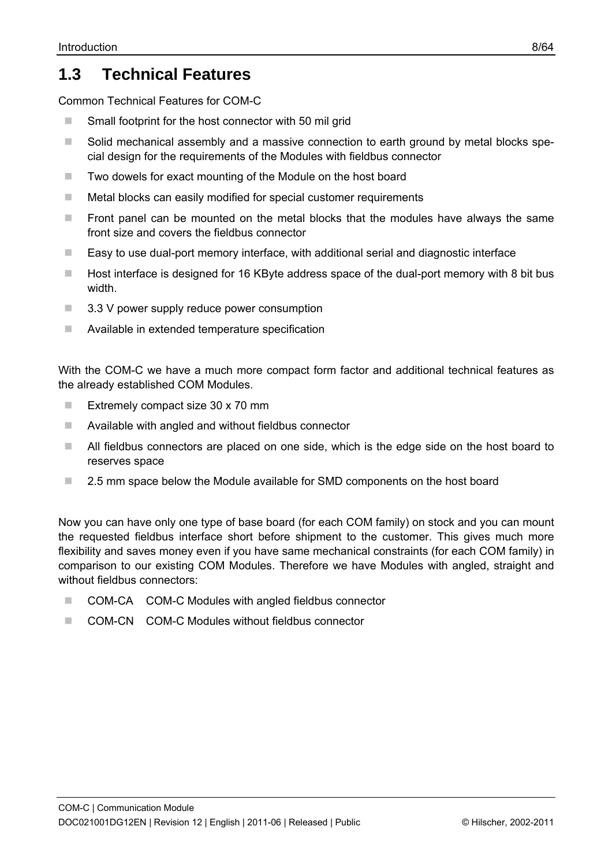## <span id="page-7-0"></span>**1.3 Technical Features**

Common Technical Features for COM-C

- Small footprint for the host connector with 50 mil grid
- Solid mechanical assembly and a massive connection to earth ground by metal blocks special design for the requirements of the Modules with fieldbus connector
- Two dowels for exact mounting of the Module on the host board
- $\blacksquare$  Metal blocks can easily modified for special customer requirements
- **Fight** Front panel can be mounted on the metal blocks that the modules have always the same front size and covers the fieldbus connector
- Easy to use dual-port memory interface, with additional serial and diagnostic interface
- Host interface is designed for 16 KByte address space of the dual-port memory with 8 bit bus width.
- $\blacksquare$  3.3 V power supply reduce power consumption
- Available in extended temperature specification

With the COM-C we have a much more compact form factor and additional technical features as the already established COM Modules.

- Extremely compact size  $30 \times 70$  mm
- **E** Available with angled and without fieldbus connector
- All fieldbus connectors are placed on one side, which is the edge side on the host board to reserves space
- 2.5 mm space below the Module available for SMD components on the host board

Now you can have only one type of base board (for each COM family) on stock and you can mount the requested fieldbus interface short before shipment to the customer. This gives much more flexibility and saves money even if you have same mechanical constraints (for each COM family) in comparison to our existing COM Modules. Therefore we have Modules with angled, straight and without fieldbus connectors:

- COM-CA COM-C Modules with angled fieldbus connector
- COM-CN COM-C Modules without fieldbus connector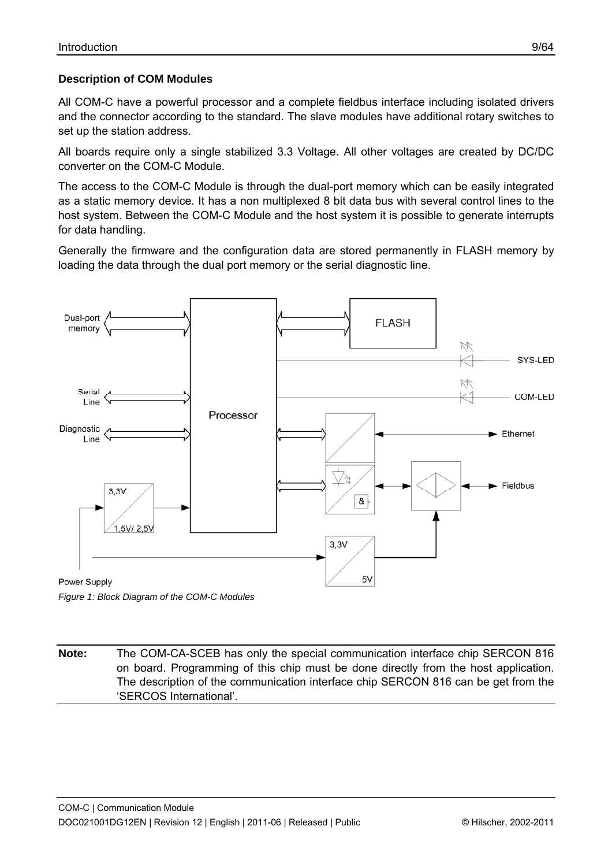#### <span id="page-8-0"></span>**Description of COM Modules**

All COM-C have a powerful processor and a complete fieldbus interface including isolated drivers and the connector according to the standard. The slave modules have additional rotary switches to set up the station address.

All boards require only a single stabilized 3.3 Voltage. All other voltages are created by DC/DC converter on the COM-C Module.

The access to the COM-C Module is through the dual-port memory which can be easily integrated as a static memory device. It has a non multiplexed 8 bit data bus with several control lines to the host system. Between the COM-C Module and the host system it is possible to generate interrupts for data handling.

Generally the firmware and the configuration data are stored permanently in FLASH memory by loading the data through the dual port memory or the serial diagnostic line.



*Figure 1: Block Diagram of the COM-C Modules* 

**Note:** The COM-CA-SCEB has only the special communication interface chip SERCON 816 on board. Programming of this chip must be done directly from the host application. The description of the communication interface chip SERCON 816 can be get from the 'SERCOS International'.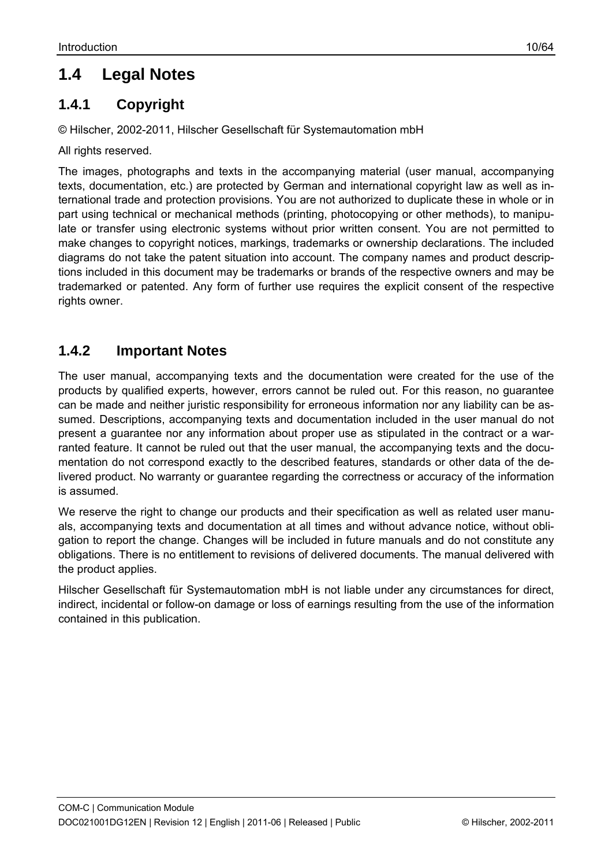## <span id="page-9-0"></span>**1.4 Legal Notes**

## **1.4.1 Copyright**

© Hilscher, 2002-2011, Hilscher Gesellschaft für Systemautomation mbH

All rights reserved.

The images, photographs and texts in the accompanying material (user manual, accompanying texts, documentation, etc.) are protected by German and international copyright law as well as international trade and protection provisions. You are not authorized to duplicate these in whole or in part using technical or mechanical methods (printing, photocopying or other methods), to manipulate or transfer using electronic systems without prior written consent. You are not permitted to make changes to copyright notices, markings, trademarks or ownership declarations. The included diagrams do not take the patent situation into account. The company names and product descriptions included in this document may be trademarks or brands of the respective owners and may be trademarked or patented. Any form of further use requires the explicit consent of the respective rights owner.

#### **1.4.2 Important Notes**

The user manual, accompanying texts and the documentation were created for the use of the products by qualified experts, however, errors cannot be ruled out. For this reason, no guarantee can be made and neither juristic responsibility for erroneous information nor any liability can be assumed. Descriptions, accompanying texts and documentation included in the user manual do not present a guarantee nor any information about proper use as stipulated in the contract or a warranted feature. It cannot be ruled out that the user manual, the accompanying texts and the documentation do not correspond exactly to the described features, standards or other data of the delivered product. No warranty or guarantee regarding the correctness or accuracy of the information is assumed.

We reserve the right to change our products and their specification as well as related user manuals, accompanying texts and documentation at all times and without advance notice, without obligation to report the change. Changes will be included in future manuals and do not constitute any obligations. There is no entitlement to revisions of delivered documents. The manual delivered with the product applies.

Hilscher Gesellschaft für Systemautomation mbH is not liable under any circumstances for direct, indirect, incidental or follow-on damage or loss of earnings resulting from the use of the information contained in this publication.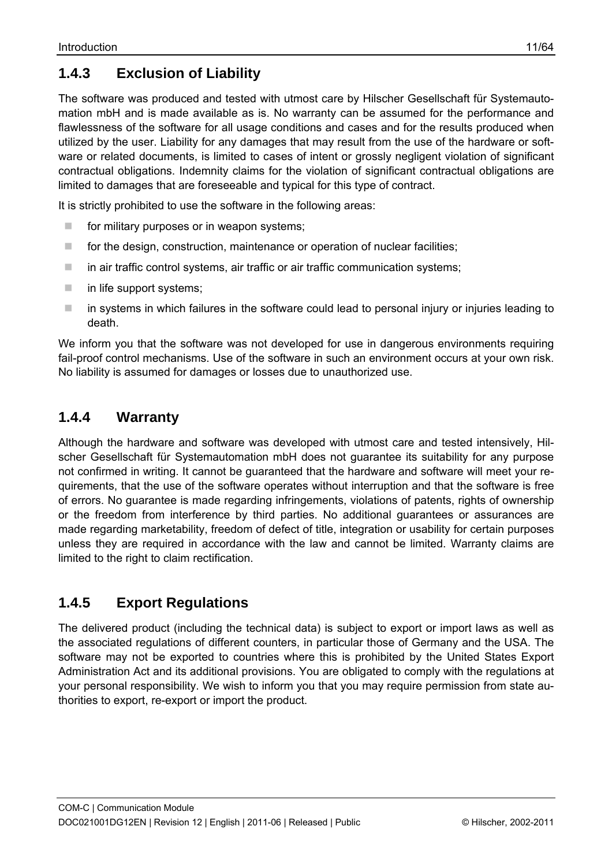## <span id="page-10-0"></span>**1.4.3 Exclusion of Liability**

The software was produced and tested with utmost care by Hilscher Gesellschaft für Systemautomation mbH and is made available as is. No warranty can be assumed for the performance and flawlessness of the software for all usage conditions and cases and for the results produced when utilized by the user. Liability for any damages that may result from the use of the hardware or software or related documents, is limited to cases of intent or grossly negligent violation of significant contractual obligations. Indemnity claims for the violation of significant contractual obligations are limited to damages that are foreseeable and typical for this type of contract.

It is strictly prohibited to use the software in the following areas:

- $\blacksquare$  for military purposes or in weapon systems;
- **for the design, construction, maintenance or operation of nuclear facilities;**
- in air traffic control systems, air traffic or air traffic communication systems;
- $\blacksquare$  in life support systems;
- $\blacksquare$  in systems in which failures in the software could lead to personal injury or injuries leading to death.

We inform you that the software was not developed for use in dangerous environments requiring fail-proof control mechanisms. Use of the software in such an environment occurs at your own risk. No liability is assumed for damages or losses due to unauthorized use.

#### **1.4.4 Warranty**

Although the hardware and software was developed with utmost care and tested intensively, Hilscher Gesellschaft für Systemautomation mbH does not guarantee its suitability for any purpose not confirmed in writing. It cannot be guaranteed that the hardware and software will meet your requirements, that the use of the software operates without interruption and that the software is free of errors. No guarantee is made regarding infringements, violations of patents, rights of ownership or the freedom from interference by third parties. No additional guarantees or assurances are made regarding marketability, freedom of defect of title, integration or usability for certain purposes unless they are required in accordance with the law and cannot be limited. Warranty claims are limited to the right to claim rectification.

#### **1.4.5 Export Regulations**

The delivered product (including the technical data) is subject to export or import laws as well as the associated regulations of different counters, in particular those of Germany and the USA. The software may not be exported to countries where this is prohibited by the United States Export Administration Act and its additional provisions. You are obligated to comply with the regulations at your personal responsibility. We wish to inform you that you may require permission from state authorities to export, re-export or import the product.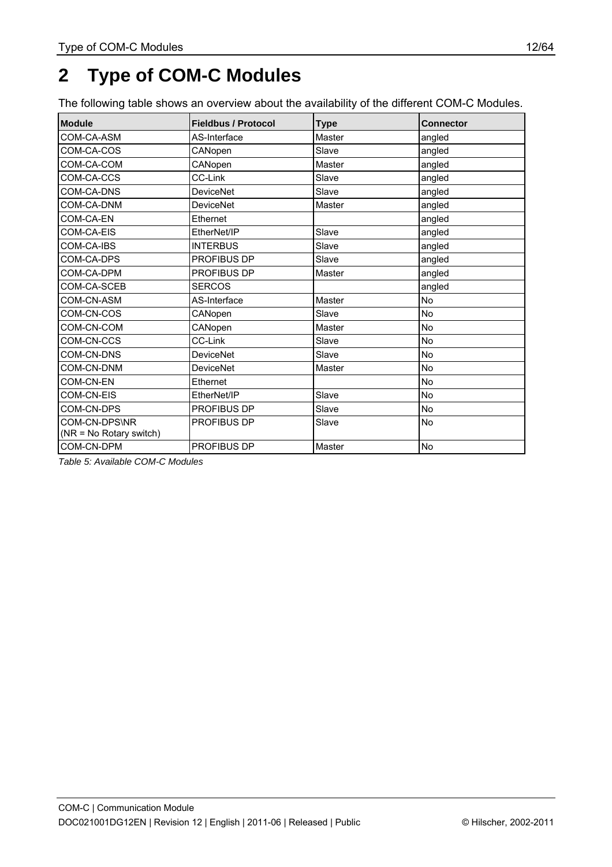# <span id="page-11-0"></span>**2 Type of COM-C Modules**

The following table shows an overview about the availability of the different COM-C Modules.

| <b>Module</b>                            | <b>Fieldbus / Protocol</b> | <b>Type</b> | <b>Connector</b> |
|------------------------------------------|----------------------------|-------------|------------------|
| COM-CA-ASM                               | AS-Interface               | Master      | angled           |
| COM-CA-COS                               | CANopen                    | Slave       | angled           |
| COM-CA-COM                               | CANopen                    | Master      | angled           |
| COM-CA-CCS                               | CC-Link                    | Slave       | angled           |
| COM-CA-DNS                               | <b>DeviceNet</b>           | Slave       | angled           |
| COM-CA-DNM                               | <b>DeviceNet</b>           | Master      | angled           |
| COM-CA-EN                                | Ethernet                   |             | angled           |
| COM-CA-EIS                               | EtherNet/IP                | Slave       | angled           |
| COM-CA-IBS                               | <b>INTERBUS</b>            | Slave       | angled           |
| COM-CA-DPS                               | PROFIBUS DP                | Slave       | angled           |
| COM-CA-DPM                               | PROFIBUS DP                | Master      | angled           |
| COM-CA-SCEB                              | <b>SERCOS</b>              |             | angled           |
| COM-CN-ASM                               | AS-Interface               | Master      | <b>No</b>        |
| COM-CN-COS                               | CANopen                    | Slave       | No               |
| COM-CN-COM                               | CANopen                    | Master      | <b>No</b>        |
| COM-CN-CCS                               | <b>CC-Link</b>             | Slave       | <b>No</b>        |
| COM-CN-DNS                               | <b>DeviceNet</b>           | Slave       | No               |
| COM-CN-DNM                               | <b>DeviceNet</b>           | Master      | No               |
| <b>COM-CN-EN</b>                         | Ethernet                   |             | <b>No</b>        |
| <b>COM-CN-EIS</b>                        | EtherNet/IP                | Slave       | <b>No</b>        |
| COM-CN-DPS                               | PROFIBUS DP                | Slave       | No               |
| COM-CN-DPS\NR<br>(NR = No Rotary switch) | PROFIBUS DP                | Slave       | No               |
| COM-CN-DPM                               | PROFIBUS DP                | Master      | <b>No</b>        |

*Table 5: Available COM-C Modules*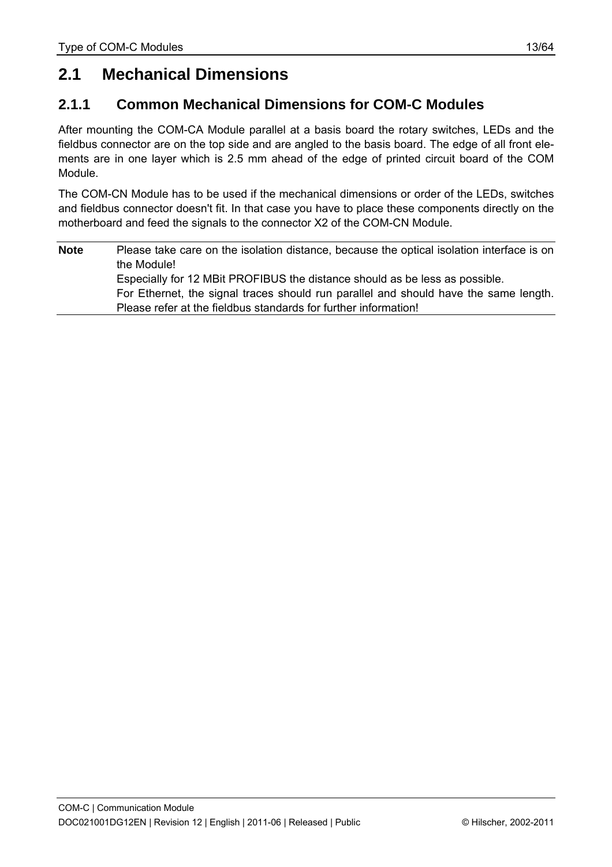# <span id="page-12-0"></span>**2.1 Mechanical Dimensions**

## **2.1.1 Common Mechanical Dimensions for COM-C Modules**

After mounting the COM-CA Module parallel at a basis board the rotary switches, LEDs and the fieldbus connector are on the top side and are angled to the basis board. The edge of all front elements are in one layer which is 2.5 mm ahead of the edge of printed circuit board of the COM Module.

The COM-CN Module has to be used if the mechanical dimensions or order of the LEDs, switches and fieldbus connector doesn't fit. In that case you have to place these components directly on the motherboard and feed the signals to the connector X2 of the COM-CN Module.

| <b>Note</b> | Please take care on the isolation distance, because the optical isolation interface is on |
|-------------|-------------------------------------------------------------------------------------------|
|             | the Module!                                                                               |
|             | Especially for 12 MBit PROFIBUS the distance should as be less as possible.               |
|             | For Ethernet, the signal traces should run parallel and should have the same length.      |
|             | Please refer at the fieldbus standards for further information!                           |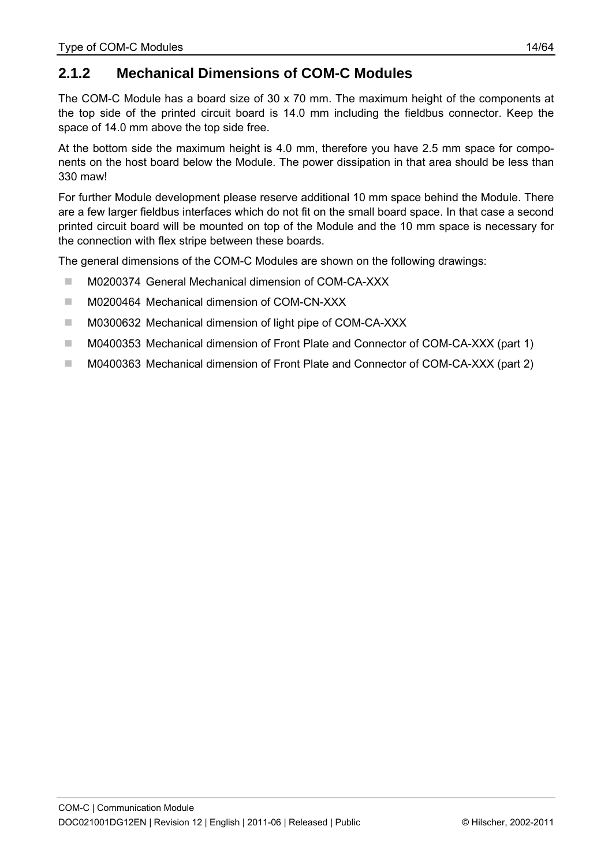### <span id="page-13-0"></span>**2.1.2 Mechanical Dimensions of COM-C Modules**

The COM-C Module has a board size of 30 x 70 mm. The maximum height of the components at the top side of the printed circuit board is 14.0 mm including the fieldbus connector. Keep the space of 14.0 mm above the top side free.

At the bottom side the maximum height is 4.0 mm, therefore you have 2.5 mm space for components on the host board below the Module. The power dissipation in that area should be less than 330 maw!

For further Module development please reserve additional 10 mm space behind the Module. There are a few larger fieldbus interfaces which do not fit on the small board space. In that case a second printed circuit board will be mounted on top of the Module and the 10 mm space is necessary for the connection with flex stripe between these boards.

The general dimensions of the COM-C Modules are shown on the following drawings:

- M0200374 General Mechanical dimension of COM-CA-XXX
- **M0200464 Mechanical dimension of COM-CN-XXX**
- **M0300632 Mechanical dimension of light pipe of COM-CA-XXX**
- M0400353 Mechanical dimension of Front Plate and Connector of COM-CA-XXX (part 1)
- M0400363 Mechanical dimension of Front Plate and Connector of COM-CA-XXX (part 2)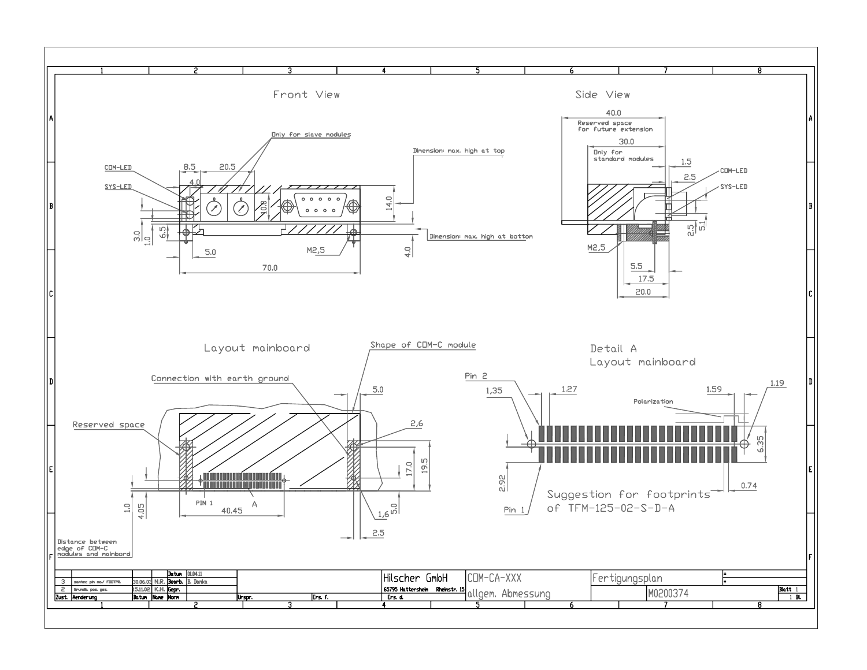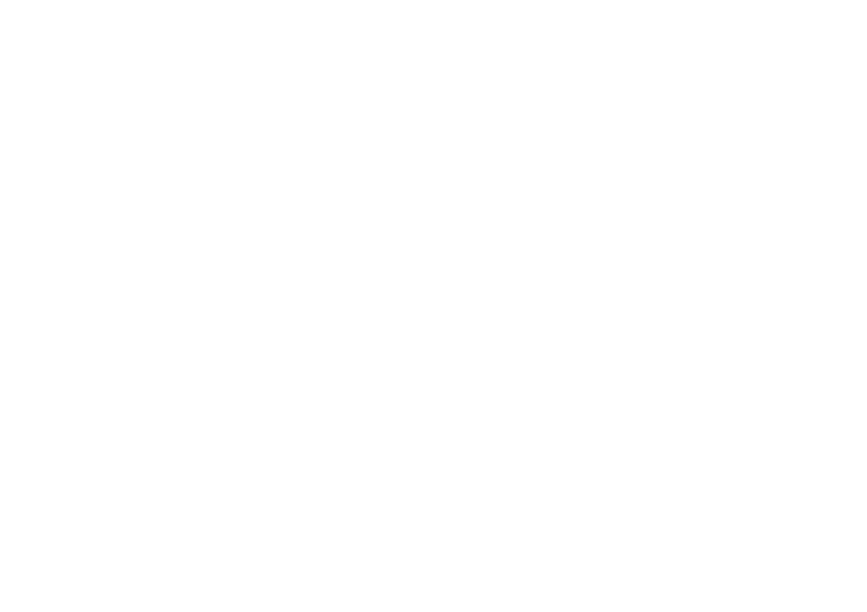Table of Contents

| <b>CCCCVICCIDGINES</b><br>)<br>) ) )<br>うらこりこり<br><b>All Devices The Line Section</b> | $\frac{1}{2}$<br>ī<br>יוממים |
|---------------------------------------------------------------------------------------|------------------------------|
|                                                                                       |                              |
| )<br>.                                                                                |                              |
| <b>1211-00-12012</b>                                                                  |                              |
|                                                                                       |                              |

| တ္ထ<br>င္ထာ                    | Diagnostic<br>Diagnostic Interface RS232C<br>Interf<br>ace                                                                                                      | თ<br>$\overline{5}$ .1                    |
|--------------------------------|-----------------------------------------------------------------------------------------------------------------------------------------------------------------|-------------------------------------------|
| 57                             | A ddress                                                                                                                                                        | ্য<br>Device                              |
|                                |                                                                                                                                                                 |                                           |
| <b>ფ ფ</b>                     | 4.1.12<br><b>PRODEODS</b> (optical)<br>SERCOS (optical)                                                                                                         |                                           |
|                                | 4.1.11<br>PROFIBOR DP Master                                                                                                                                    |                                           |
| 54<br>95                       | 4.1.10<br>4.1.9<br>InterBus Slave                                                                                                                               |                                           |
| ပ္ပ                            | 4.1.8<br>DeviceNet Slave                                                                                                                                        |                                           |
|                                | DeviceNet Master                                                                                                                                                |                                           |
| <br>00<br>00                   | $4444$<br>$444$<br>$-44$<br>CO Link Slave                                                                                                                       |                                           |
| $\overline{5}$                 | CANopen Slave                                                                                                                                                   |                                           |
| 51                             | 4.1.4<br>CANopen Master                                                                                                                                         |                                           |
| : :<br>55                      | AS-Interface Master                                                                                                                                             |                                           |
| 49                             | $\frac{4}{1} \frac{4}{1} \frac{4}{1} \frac{4}{1}$<br>$\frac{4}{1} \frac{4}{1} \frac{4}{1} \frac{4}{1}$<br>Ethernet<br>EtherNet/IP Adapter (Slave)               |                                           |
| $-49$                          | <b>Ds</b><br>tor COM<br>Modules                                                                                                                                 | 4.1                                       |
| 48                             |                                                                                                                                                                 | LEDS                                      |
| 47                             | Integration a                                                                                                                                                   | ပ္ပ<br>၁                                  |
| 46                             |                                                                                                                                                                 |                                           |
| 46                             | 3.4.10<br>Interfacing to the Dual-Port Memory for COM-CA-SC<br>띲                                                                                                |                                           |
| $\ddot{4}$                     | $3.4.9$<br>$3.4.9$                                                                                                                                              |                                           |
| 43                             |                                                                                                                                                                 |                                           |
| $43\,$                         | Busy Line to the Host System                                                                                                                                    |                                           |
| $\ddot{3}$                     | 3 3 3 4 4<br>4 4 4 4<br>4 10 10 1<br>Dual-Port Memory Control Lines<br>Interrupt Line to the Host System<br>$\begin{bmatrix} 1 \\ 1 \\ 1 \\ 1 \end{bmatrix}$    |                                           |
| $rac{4}{3}$                    | Address Bus and Data Bus                                                                                                                                        |                                           |
| $\ddot{4}$                     | The Dual-port Memory Bus of COM                                                                                                                                 |                                           |
| $\overline{41}$                |                                                                                                                                                                 |                                           |
| 41                             | Signals of the Host Interface<br>3.4.1 Power Supply of the COM-C<br>3.4.2 RESET Signal<br>3.4.3 The Dual-port Memory Bus o<br>Power Supply of the COM-C Modules |                                           |
| $\overline{4}$                 |                                                                                                                                                                 | ′4                                        |
| $rac{4}{5}$                    | 333<br>336<br>936<br>Fieldpra Connector X2 tor CO-Link-Slave                                                                                                    |                                           |
| 39                             | Fieldbus Connector X2 for Ethernet                                                                                                                              |                                           |
| 38                             |                                                                                                                                                                 |                                           |
| း :<br>၁၉                      |                                                                                                                                                                 |                                           |
| မ္တ                            |                                                                                                                                                                 |                                           |
| نغ<br>65                       |                                                                                                                                                                 | ယ<br>ယ                                    |
| یخ                             | COM-CA-SCEB Pining of the System Bus Connector X1.                                                                                                              | $\omega$<br>iv.                           |
| 31                             | COM Pinning of the System Bus Connector X1                                                                                                                      | 3.1                                       |
| نغ<br>0                        | n terf ace                                                                                                                                                      | ω<br>Host                                 |
| $\overline{8}$                 | Meaning of the Rotary Switch                                                                                                                                    |                                           |
| 82                             | Designation of the COM-C                                                                                                                                        | 2222<br>2345                              |
| $\overline{\aleph}$            | Mounting of COM-C Modules                                                                                                                                       |                                           |
| ö                              |                                                                                                                                                                 |                                           |
| $\frac{1}{4}$ $\frac{1}{4}$    | $\frac{2.11}{2.12}$<br>Mechanical Dimensions of COM-C-Modrles                                                                                                   |                                           |
|                                | Common Mechanical Dimensions for COM-C<br>Modules                                                                                                               |                                           |
| $\vec{\omega}$                 | Mechanical Dimensions                                                                                                                                           | $\frac{1}{24}$                            |
| $\vec{v}$                      | of CO N-C Modules…………                                                                                                                                           | $\sim$                                    |
| $\overrightarrow{\phantom{a}}$ | $1.4.5$<br>1.4.5<br>Export Regulations                                                                                                                          |                                           |
| $\overline{\phantom{a}}$       | Warranty                                                                                                                                                        |                                           |
| $\overline{\phantom{a}}$       | 1.4.3<br>Exclusion of Liability                                                                                                                                 |                                           |
| $\circ$                        | $\frac{1}{4}$<br>$\frac{4}{4}$<br>Copyright<br>Important Notes                                                                                                  |                                           |
| $\vec{o}$                      | Legal Notes                                                                                                                                                     |                                           |
| $\vec{o}$                      |                                                                                                                                                                 | 4                                         |
| $\infty$                       | echrical Heatcres                                                                                                                                               |                                           |
| .<br>တ<br>4                    | About this Document.<br>List of Revisions                                                                                                                       | $\frac{1}{4}$ $\frac{1}{4}$ $\frac{1}{4}$ |
|                                | ntroduction                                                                                                                                                     |                                           |
|                                |                                                                                                                                                                 |                                           |
|                                |                                                                                                                                                                 |                                           |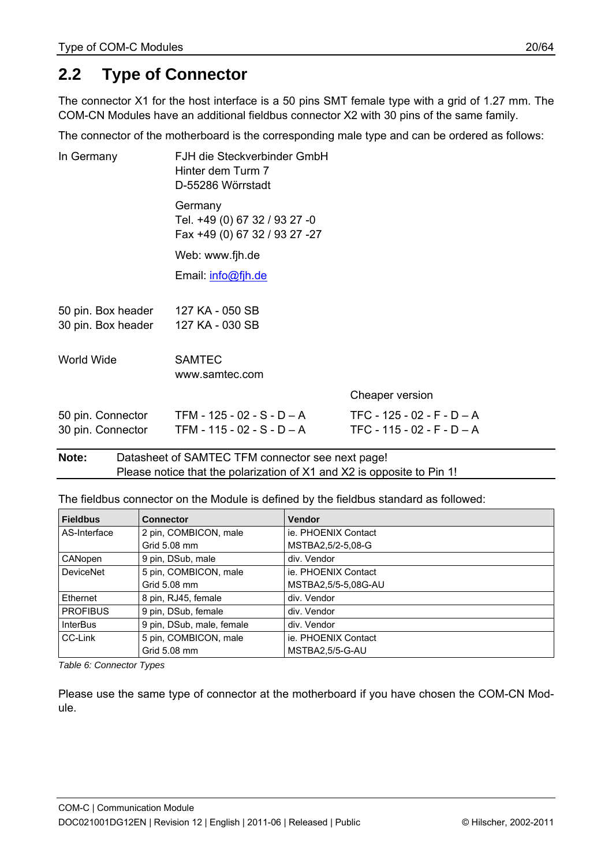## <span id="page-19-0"></span>**2.2 Type of Connector**

The connector X1 for the host interface is a 50 pins SMT female type with a grid of 1.27 mm. The COM-CN Modules have an additional fieldbus connector X2 with 30 pins of the same family.

The connector of the motherboard is the corresponding male type and can be ordered as follows:

| <b>N</b> loto:     | Datasheet of CAMITEC TEM connector see next pagel                         |                              |  |
|--------------------|---------------------------------------------------------------------------|------------------------------|--|
| 30 pin. Connector  | TFM - 115 - 02 - $S - D - A$                                              | TFC - 115 - 02 - F - D - A   |  |
| 50 pin. Connector  | TFM - 125 - 02 - $S - D - A$                                              | $TFC - 125 - 02 - F - D - A$ |  |
|                    |                                                                           | Cheaper version              |  |
|                    | www.samtec.com                                                            |                              |  |
| <b>World Wide</b>  | <b>SAMTEC</b>                                                             |                              |  |
| 30 pin. Box header | 127 KA - 030 SB                                                           |                              |  |
| 50 pin. Box header | 127 KA - 050 SB                                                           |                              |  |
|                    | Email: info@fih.de                                                        |                              |  |
|                    | Web: www.fjh.de                                                           |                              |  |
|                    | Germany<br>Tel. +49 (0) 67 32 / 93 27 -0<br>Fax +49 (0) 67 32 / 93 27 -27 |                              |  |
| In Germany         | FJH die Steckverbinder GmbH<br>Hinter dem Turm 7<br>D-55286 Wörrstadt     |                              |  |

**Note:** Datasheet of SAMTEC TFM connector see next page! Please notice that the polarization of X1 and X2 is opposite to Pin 1!

The fieldbus connector on the Module is defined by the fieldbus standard as followed:

| <b>Fieldbus</b> | <b>Connector</b>          | <b>Vendor</b>       |
|-----------------|---------------------------|---------------------|
| AS-Interface    | 2 pin, COMBICON, male     | ie. PHOENIX Contact |
|                 | Grid 5.08 mm              | MSTBA2,5/2-5,08-G   |
| CANopen         | 9 pin, DSub, male         | div. Vendor         |
| DeviceNet       | 5 pin, COMBICON, male     | ie. PHOENIX Contact |
|                 | Grid 5.08 mm              | MSTBA2,5/5-5,08G-AU |
| Ethernet        | 8 pin, RJ45, female       | div. Vendor         |
| <b>PROFIBUS</b> | 9 pin, DSub, female       | div. Vendor         |
| <b>InterBus</b> | 9 pin, DSub, male, female | div. Vendor         |
| CC-Link         | 5 pin, COMBICON, male     | ie. PHOENIX Contact |
|                 | Grid 5.08 mm              | MSTBA2,5/5-G-AU     |

*Table 6: Connector Types* 

Please use the same type of connector at the motherboard if you have chosen the COM-CN Module.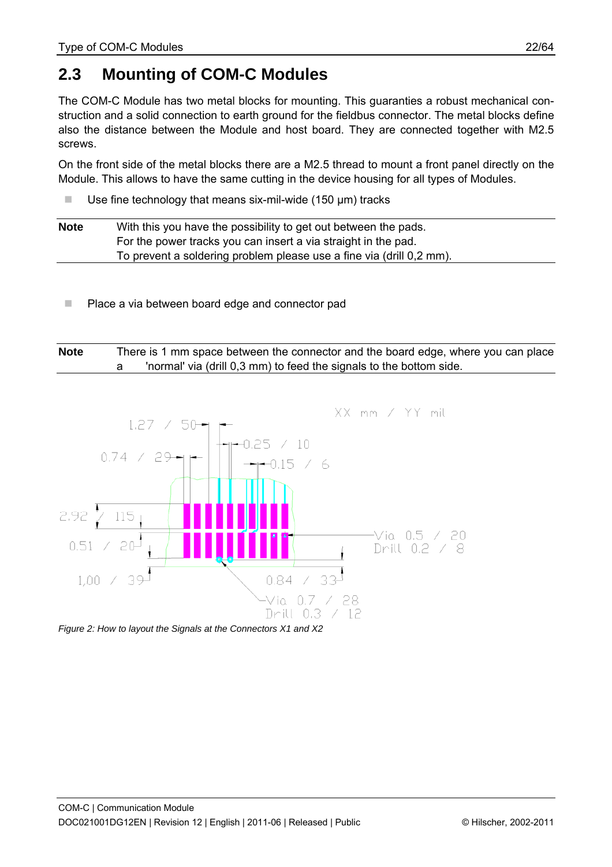## <span id="page-21-0"></span>**2.3 Mounting of COM-C Modules**

The COM-C Module has two metal blocks for mounting. This guaranties a robust mechanical construction and a solid connection to earth ground for the fieldbus connector. The metal blocks define also the distance between the Module and host board. They are connected together with M2.5 screws.

On the front side of the metal blocks there are a M2.5 thread to mount a front panel directly on the Module. This allows to have the same cutting in the device housing for all types of Modules.

- $\blacksquare$  Use fine technology that means six-mil-wide (150  $\mu$ m) tracks
- **Note** With this you have the possibility to get out between the pads. For the power tracks you can insert a via straight in the pad. To prevent a soldering problem please use a fine via (drill 0,2 mm).
- **Place a via between board edge and connector pad**

#### **Note** There is 1 mm space between the connector and the board edge, where you can place a 'normal' via (drill 0,3 mm) to feed the signals to the bottom side.

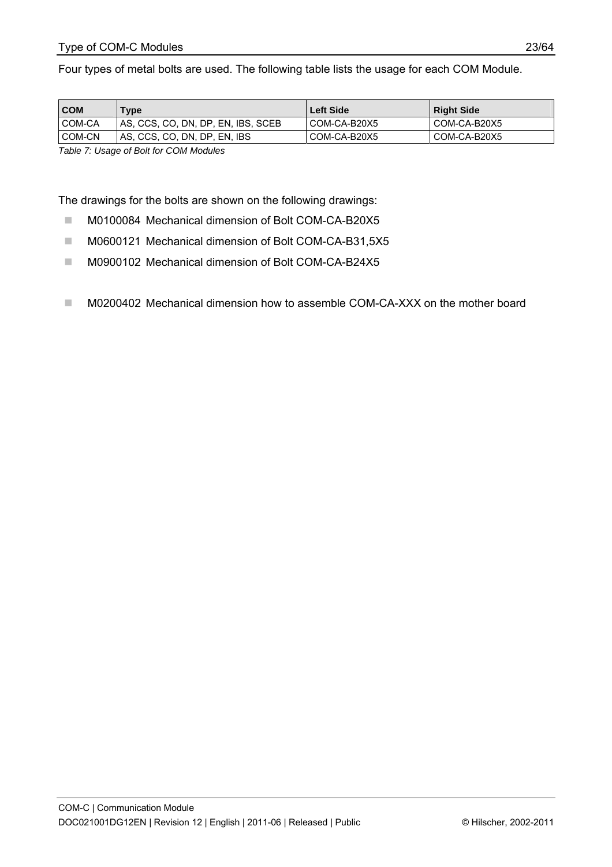<span id="page-22-0"></span>

| <b>COM</b> | Type                               | <b>Left Side</b> | <b>Right Side</b> |
|------------|------------------------------------|------------------|-------------------|
| I COM-CA   | AS, CCS, CO, DN, DP, EN, IBS, SCEB | l COM-CA-B20X5   | COM-CA-B20X5      |
| COM-CN     | AS, CCS, CO, DN, DP, EN, IBS       | COM-CA-B20X5     | COM-CA-B20X5      |

*Table 7: Usage of Bolt for COM Modules* 

The drawings for the bolts are shown on the following drawings:

- **M0100084 Mechanical dimension of Bolt COM-CA-B20X5**
- **M0600121 Mechanical dimension of Bolt COM-CA-B31,5X5**
- M0900102 Mechanical dimension of Bolt COM-CA-B24X5
- M0200402 Mechanical dimension how to assemble COM-CA-XXX on the mother board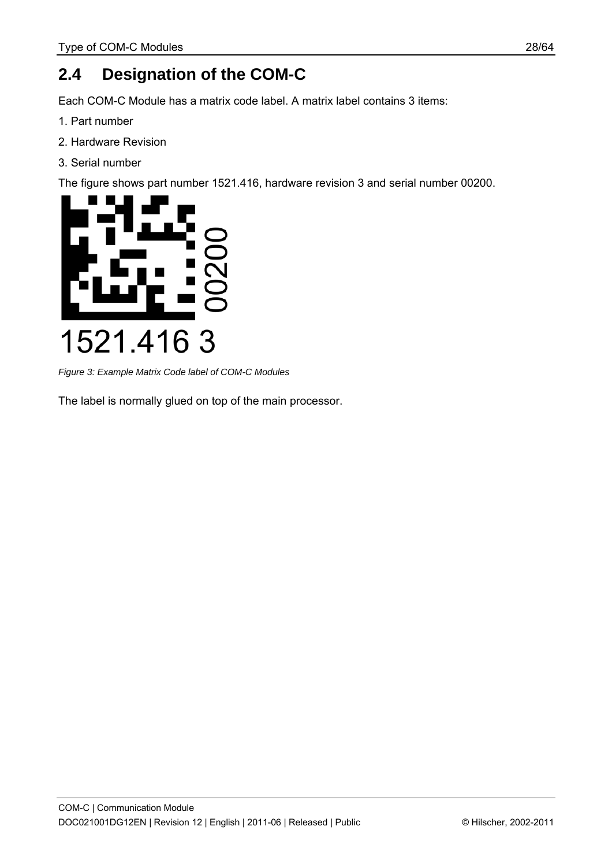# <span id="page-27-0"></span>**2.4 Designation of the COM-C**

Each COM-C Module has a matrix code label. A matrix label contains 3 items:

- 1. Part number
- 2. Hardware Revision
- 3. Serial number

The figure shows part number 1521.416, hardware revision 3 and serial number 00200.



*Figure 3: Example Matrix Code label of COM-C Modules* 

The label is normally glued on top of the main processor.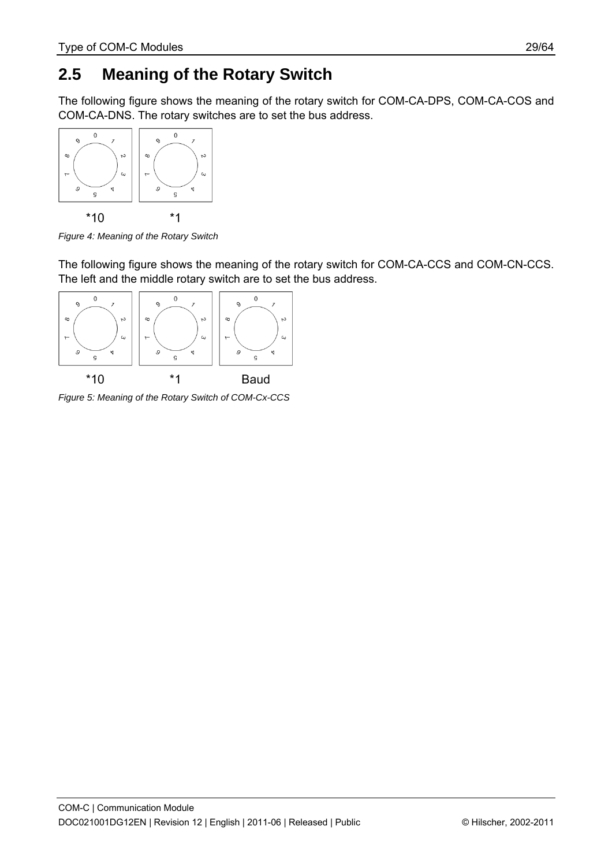# <span id="page-28-0"></span>**2.5 Meaning of the Rotary Switch**

The following figure shows the meaning of the rotary switch for COM-CA-DPS, COM-CA-COS and COM-CA-DNS. The rotary switches are to set the bus address.



*Figure 4: Meaning of the Rotary Switch* 

The following figure shows the meaning of the rotary switch for COM-CA-CCS and COM-CN-CCS. The left and the middle rotary switch are to set the bus address.



*Figure 5: Meaning of the Rotary Switch of COM-Cx-CCS*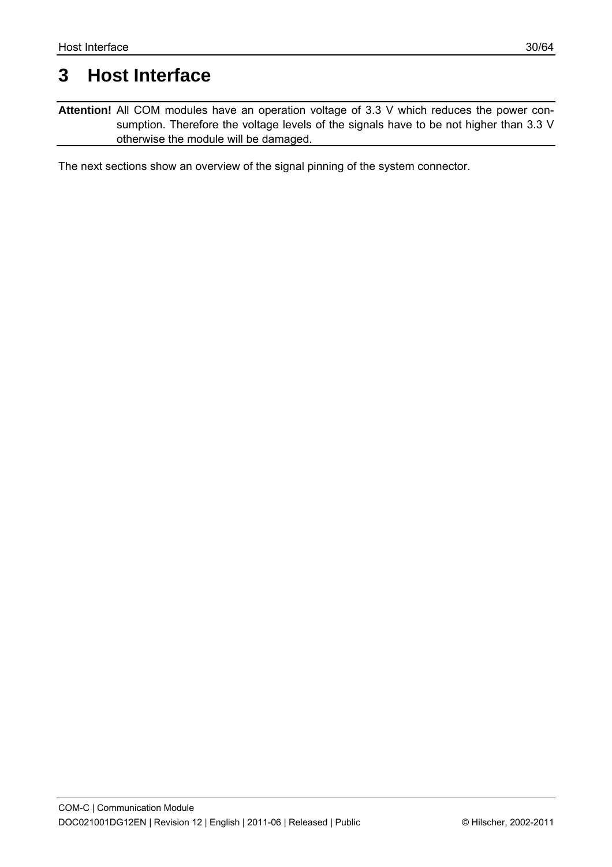# <span id="page-29-0"></span>**3 Host Interface**

**Attention!** All COM modules have an operation voltage of 3.3 V which reduces the power consumption. Therefore the voltage levels of the signals have to be not higher than 3.3 V otherwise the module will be damaged.

The next sections show an overview of the signal pinning of the system connector.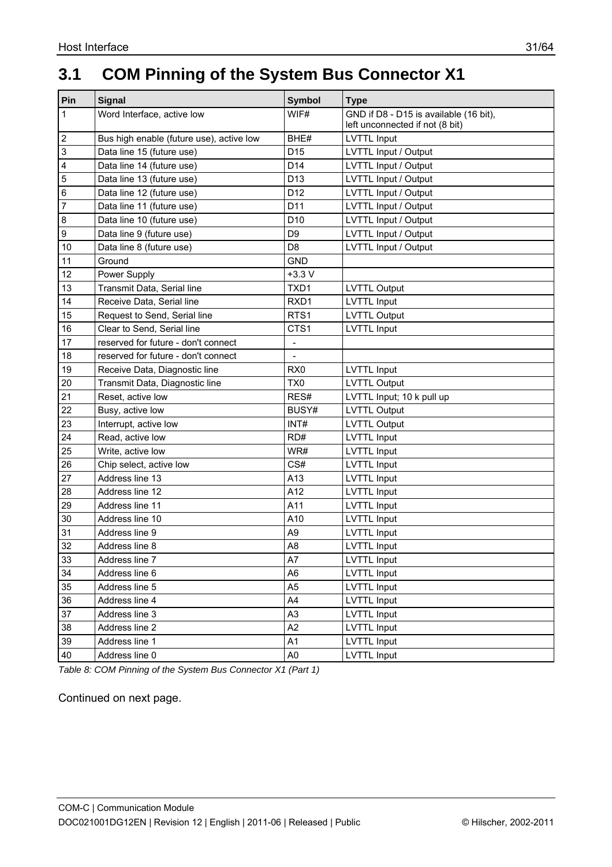# <span id="page-30-0"></span>**3.1 COM Pinning of the System Bus Connector X1**

| Pin              | <b>Signal</b>                            | <b>Symbol</b>            | <b>Type</b>                            |  |  |
|------------------|------------------------------------------|--------------------------|----------------------------------------|--|--|
| $\mathbf{1}$     | Word Interface, active low               | WIF#                     | GND if D8 - D15 is available (16 bit), |  |  |
|                  |                                          |                          | left unconnected if not (8 bit)        |  |  |
| $\boldsymbol{2}$ | Bus high enable (future use), active low | BHE#                     | LVTTL Input                            |  |  |
| 3                | Data line 15 (future use)                | D <sub>15</sub>          | LVTTL Input / Output                   |  |  |
| 4                | Data line 14 (future use)                | D <sub>14</sub>          | LVTTL Input / Output                   |  |  |
| 5                | Data line 13 (future use)                | D <sub>13</sub>          | LVTTL Input / Output                   |  |  |
| 6                | Data line 12 (future use)                | D <sub>12</sub>          | LVTTL Input / Output                   |  |  |
| $\overline{7}$   | Data line 11 (future use)                | D11                      | LVTTL Input / Output                   |  |  |
| 8                | Data line 10 (future use)                | D <sub>10</sub>          | LVTTL Input / Output                   |  |  |
| 9                | Data line 9 (future use)                 | D <sub>9</sub>           | LVTTL Input / Output                   |  |  |
| 10               | Data line 8 (future use)                 | D <sub>8</sub>           | LVTTL Input / Output                   |  |  |
| 11               | Ground                                   | <b>GND</b>               |                                        |  |  |
| 12               | Power Supply                             | $+3.3 V$                 |                                        |  |  |
| 13               | Transmit Data, Serial line               | TXD1                     | <b>LVTTL Output</b>                    |  |  |
| 14               | Receive Data, Serial line                | RXD1                     | LVTTL Input                            |  |  |
| 15               | Request to Send, Serial line             | RTS1                     | <b>LVTTL Output</b>                    |  |  |
| 16               | Clear to Send, Serial line               | CTS1                     | LVTTL Input                            |  |  |
| 17               | reserved for future - don't connect      |                          |                                        |  |  |
| 18               | reserved for future - don't connect      | $\overline{\phantom{a}}$ |                                        |  |  |
| 19               | Receive Data, Diagnostic line            | RX <sub>0</sub>          | LVTTL Input                            |  |  |
| 20               | Transmit Data, Diagnostic line           | TX0                      | <b>LVTTL Output</b>                    |  |  |
| 21               | Reset, active low                        | RES#                     | LVTTL Input; 10 k pull up              |  |  |
| 22               | Busy, active low                         | BUSY#                    | <b>LVTTL Output</b>                    |  |  |
| 23               | Interrupt, active low                    | INT#                     | <b>LVTTL Output</b>                    |  |  |
| 24               | Read, active low                         | RD#                      | LVTTL Input                            |  |  |
| 25               | Write, active low                        | WR#                      | <b>LVTTL Input</b>                     |  |  |
| 26               | Chip select, active low                  | CS#                      | LVTTL Input                            |  |  |
| 27               | Address line 13                          | A13                      | <b>LVTTL Input</b>                     |  |  |
| 28               | Address line 12                          | A12                      | LVTTL Input                            |  |  |
| 29               | Address line 11                          | A11                      | <b>LVTTL Input</b>                     |  |  |
| 30               | Address line 10                          | A10                      | LVTTL Input                            |  |  |
| 31               | Address line 9                           | A <sub>9</sub>           | LVTTL Input                            |  |  |
| 32               | Address line 8                           | A <sub>8</sub>           | <b>LVTTL Input</b>                     |  |  |
| 33               | Address line 7                           | A7                       | LVTTL Input                            |  |  |
| 34               | Address line 6                           | A <sub>6</sub>           | LVTTL Input                            |  |  |
| 35               | Address line 5                           | A <sub>5</sub>           | LVTTL Input                            |  |  |
| 36               | Address line 4                           | A4                       | LVTTL Input                            |  |  |
| 37               | Address line 3                           | A <sub>3</sub>           | LVTTL Input                            |  |  |
| 38               | Address line 2                           | A2                       | LVTTL Input                            |  |  |
| 39               | Address line 1                           | A <sub>1</sub>           | LVTTL Input                            |  |  |
| 40               | Address line 0                           | A <sub>0</sub>           | LVTTL Input                            |  |  |
|                  |                                          |                          |                                        |  |  |

*Table 8: COM Pinning of the System Bus Connector X1 (Part 1)* 

Continued on next page.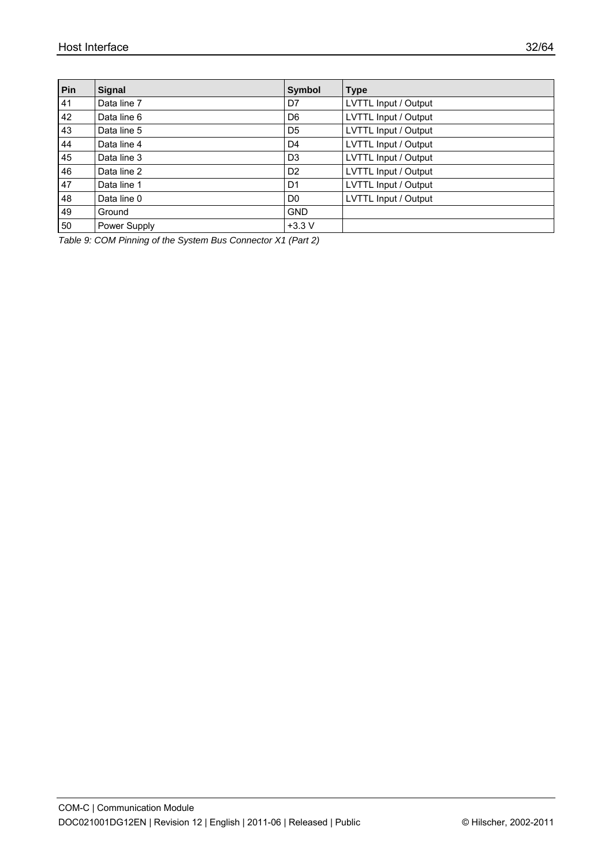<span id="page-31-0"></span>

| Pin | <b>Signal</b> | Symbol         | Type                 |
|-----|---------------|----------------|----------------------|
| 41  | Data line 7   | D7             | LVTTL Input / Output |
| 42  | Data line 6   | D <sub>6</sub> | LVTTL Input / Output |
| 43  | Data line 5   | D <sub>5</sub> | LVTTL Input / Output |
| 44  | Data line 4   | D <sub>4</sub> | LVTTL Input / Output |
| 45  | Data line 3   | D <sub>3</sub> | LVTTL Input / Output |
| 46  | Data line 2   | D <sub>2</sub> | LVTTL Input / Output |
| 47  | Data line 1   | D <sub>1</sub> | LVTTL Input / Output |
| 48  | Data line 0   | D <sub>0</sub> | LVTTL Input / Output |
| 49  | Ground        | <b>GND</b>     |                      |
| 50  | Power Supply  | $+3.3V$        |                      |

*Table 9: COM Pinning of the System Bus Connector X1 (Part 2)*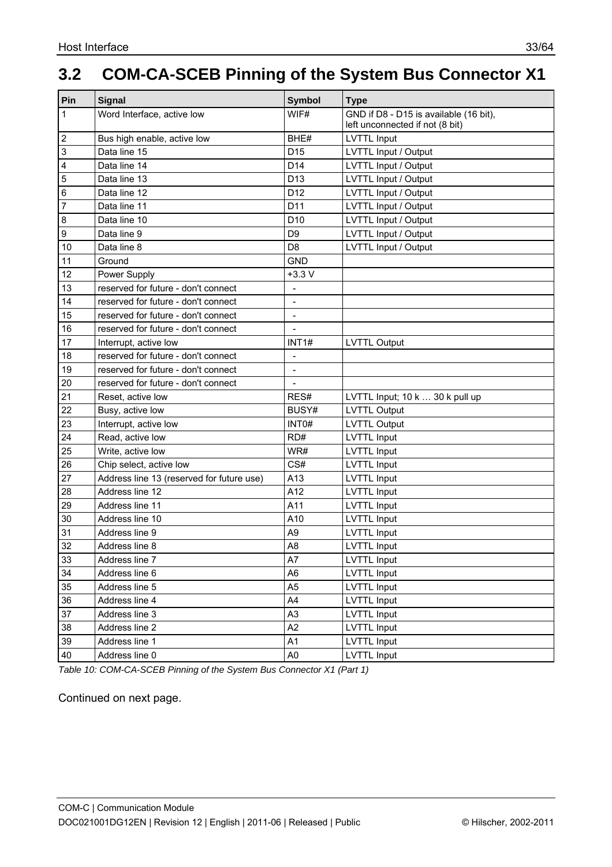<span id="page-32-0"></span>

| Pin                     | <b>Signal</b>                             | <b>Symbol</b>     | <b>Type</b>                                                               |  |  |
|-------------------------|-------------------------------------------|-------------------|---------------------------------------------------------------------------|--|--|
| 1                       | Word Interface, active low                | WIF#              | GND if D8 - D15 is available (16 bit),<br>left unconnected if not (8 bit) |  |  |
| $\sqrt{2}$              | Bus high enable, active low               | BHE#              | <b>LVTTL Input</b>                                                        |  |  |
| 3                       | Data line 15                              | D <sub>15</sub>   | LVTTL Input / Output                                                      |  |  |
| $\overline{\mathbf{4}}$ | Data line 14                              | D <sub>14</sub>   | LVTTL Input / Output                                                      |  |  |
| $\overline{5}$          | Data line 13                              | D <sub>13</sub>   | LVTTL Input / Output                                                      |  |  |
| 6                       | Data line 12                              | D <sub>12</sub>   | LVTTL Input / Output                                                      |  |  |
| $\overline{7}$          | Data line 11                              | D <sub>11</sub>   | LVTTL Input / Output                                                      |  |  |
| 8                       | Data line 10                              | D <sub>10</sub>   | LVTTL Input / Output                                                      |  |  |
| 9                       | Data line 9                               | D <sub>9</sub>    | LVTTL Input / Output                                                      |  |  |
| 10                      | Data line 8                               | D <sub>8</sub>    | LVTTL Input / Output                                                      |  |  |
| 11                      | Ground                                    | <b>GND</b>        |                                                                           |  |  |
| 12                      | Power Supply                              | $+3.3 V$          |                                                                           |  |  |
| 13                      | reserved for future - don't connect       | $\overline{a}$    |                                                                           |  |  |
| 14                      | reserved for future - don't connect       |                   |                                                                           |  |  |
| 15                      | reserved for future - don't connect       | $\blacksquare$    |                                                                           |  |  |
| 16                      | reserved for future - don't connect       |                   |                                                                           |  |  |
| 17                      | Interrupt, active low                     | INT <sub>1#</sub> | <b>LVTTL Output</b>                                                       |  |  |
| 18                      | reserved for future - don't connect       | $\blacksquare$    |                                                                           |  |  |
| 19                      | reserved for future - don't connect       |                   |                                                                           |  |  |
| 20                      | reserved for future - don't connect       |                   |                                                                           |  |  |
| 21                      | Reset, active low                         | RES#              | LVTTL Input; 10 k  30 k pull up                                           |  |  |
| 22                      | Busy, active low                          | BUSY#             | <b>LVTTL Output</b>                                                       |  |  |
| 23                      | Interrupt, active low                     | INT0#             | <b>LVTTL Output</b>                                                       |  |  |
| 24                      | Read, active low                          | RD#               | LVTTL Input                                                               |  |  |
| 25                      | Write, active low                         | WR#               | LVTTL Input                                                               |  |  |
| 26                      | Chip select, active low                   | CS#               | <b>LVTTL Input</b>                                                        |  |  |
| 27                      | Address line 13 (reserved for future use) | A13               | <b>LVTTL Input</b>                                                        |  |  |
| 28                      | Address line 12                           | A12               | <b>LVTTL Input</b>                                                        |  |  |
| 29                      | Address line 11                           | A11               | LVTTL Input                                                               |  |  |
| $30\,$                  | Address line 10                           | A10               | LVTTL Input                                                               |  |  |
| 31                      | Address line 9                            | A <sub>9</sub>    | <b>LVTTL Input</b>                                                        |  |  |
| 32                      | Address line 8                            | A <sub>8</sub>    | LVTTL Input                                                               |  |  |
| 33                      | Address line 7                            | A7                | LVTTL Input                                                               |  |  |
| 34                      | Address line 6                            | A <sub>6</sub>    | LVTTL Input                                                               |  |  |
| 35                      | Address line 5                            | A <sub>5</sub>    | LVTTL Input                                                               |  |  |
| 36                      | Address line 4                            | A4                | <b>LVTTL Input</b>                                                        |  |  |
| 37                      | Address line 3                            | A <sub>3</sub>    | LVTTL Input                                                               |  |  |
| 38                      | Address line 2                            | A2                | LVTTL Input                                                               |  |  |
| 39                      | Address line 1                            | A1                | LVTTL Input                                                               |  |  |
| 40                      | Address line 0                            | A0                | LVTTL Input                                                               |  |  |

*Table 10: COM-CA-SCEB Pinning of the System Bus Connector X1 (Part 1)* 

Continued on next page.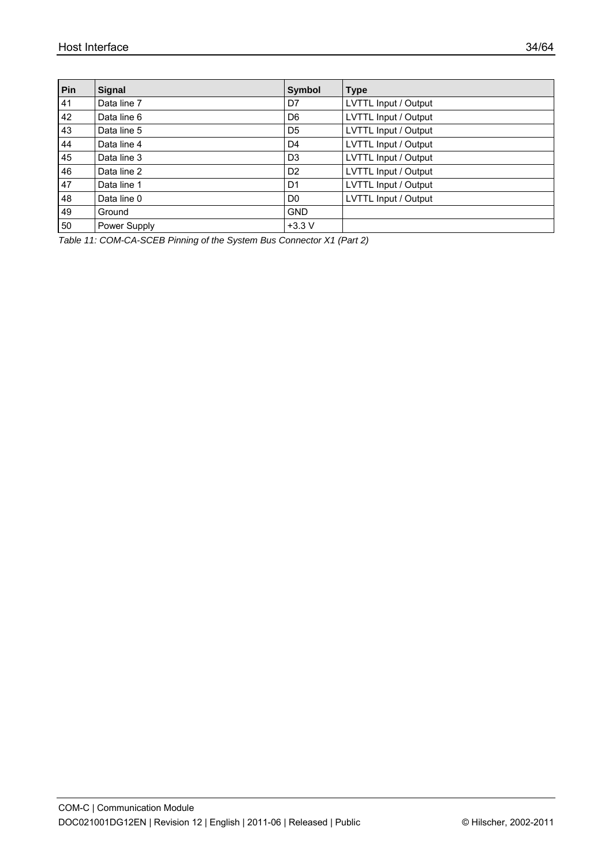<span id="page-33-0"></span>

| Pin | <b>Signal</b> | Symbol         | <b>Type</b>          |
|-----|---------------|----------------|----------------------|
| 41  | Data line 7   | D7             | LVTTL Input / Output |
| 42  | Data line 6   | D <sub>6</sub> | LVTTL Input / Output |
| 43  | Data line 5   | D <sub>5</sub> | LVTTL Input / Output |
| 44  | Data line 4   | D <sub>4</sub> | LVTTL Input / Output |
| 45  | Data line 3   | D <sub>3</sub> | LVTTL Input / Output |
| 46  | Data line 2   | D <sub>2</sub> | LVTTL Input / Output |
| 47  | Data line 1   | D <sub>1</sub> | LVTTL Input / Output |
| 48  | Data line 0   | D <sub>0</sub> | LVTTL Input / Output |
| 49  | Ground        | <b>GND</b>     |                      |
| 50  | Power Supply  | $+3.3V$        |                      |

*Table 11: COM-CA-SCEB Pinning of the System Bus Connector X1 (Part 2)*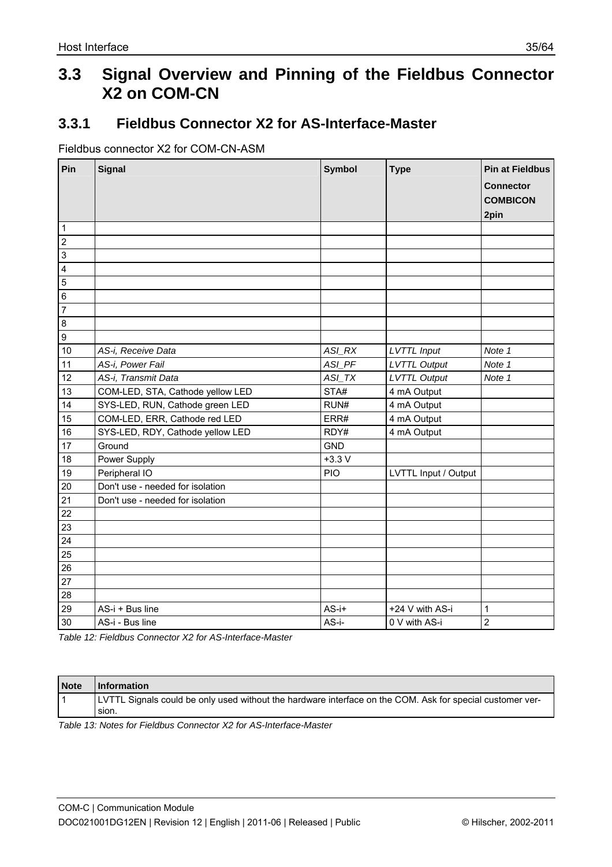## <span id="page-34-0"></span>**3.3 Signal Overview and Pinning of the Fieldbus Connector X2 on COM-CN**

#### **3.3.1 Fieldbus Connector X2 for AS-Interface-Master**

Fieldbus connector X2 for COM-CN-ASM

| Pin             | <b>Signal</b>                    | <b>Symbol</b> | <b>Type</b>          | <b>Pin at Fieldbus</b><br><b>Connector</b> |
|-----------------|----------------------------------|---------------|----------------------|--------------------------------------------|
|                 |                                  |               |                      | <b>COMBICON</b><br>2pin                    |
| $\mathbf{1}$    |                                  |               |                      |                                            |
| $\overline{c}$  |                                  |               |                      |                                            |
| 3               |                                  |               |                      |                                            |
| 4               |                                  |               |                      |                                            |
| 5               |                                  |               |                      |                                            |
| 6               |                                  |               |                      |                                            |
| $\overline{7}$  |                                  |               |                      |                                            |
| 8               |                                  |               |                      |                                            |
| 9               |                                  |               |                      |                                            |
| 10              | AS-i, Receive Data               | ASI_RX        | <b>LVTTL</b> Input   | Note 1                                     |
| 11              | AS-i, Power Fail                 | ASI_PF        | <b>LVTTL Output</b>  | Note 1                                     |
| 12              | AS-i, Transmit Data              | ASI_TX        | <b>LVTTL Output</b>  | Note 1                                     |
| 13              | COM-LED, STA, Cathode yellow LED | STA#          | 4 mA Output          |                                            |
| 14              | SYS-LED, RUN, Cathode green LED  | RUN#          | 4 mA Output          |                                            |
| 15              | COM-LED, ERR, Cathode red LED    | ERR#          | 4 mA Output          |                                            |
| 16              | SYS-LED, RDY, Cathode yellow LED | RDY#          | 4 mA Output          |                                            |
| 17              | Ground                           | <b>GND</b>    |                      |                                            |
| 18              | Power Supply                     | $+3.3 V$      |                      |                                            |
| 19              | Peripheral IO                    | PIO           | LVTTL Input / Output |                                            |
| $\overline{20}$ | Don't use - needed for isolation |               |                      |                                            |
| 21              | Don't use - needed for isolation |               |                      |                                            |
| 22              |                                  |               |                      |                                            |
| 23              |                                  |               |                      |                                            |
| 24              |                                  |               |                      |                                            |
| 25              |                                  |               |                      |                                            |
| 26              |                                  |               |                      |                                            |
| 27              |                                  |               |                      |                                            |
| 28              |                                  |               |                      |                                            |
| 29              | AS-i + Bus line                  | $AS-i+$       | +24 V with AS-i      | 1                                          |
| 30              | AS-i - Bus line                  | AS-i-         | 0 V with AS-i        | $\overline{2}$                             |

*Table 12: Fieldbus Connector X2 for AS-Interface-Master* 

| <b>Note</b> | <b>Information</b>                                                                                                 |
|-------------|--------------------------------------------------------------------------------------------------------------------|
|             | LVTTL Signals could be only used without the hardware interface on the COM. Ask for special customer ver-<br>sion. |
|             | $\tau$ is a set of $\tau$ is the contract of $\tau$ is a set of $\tau$ is a set of $\tau$ is a set of $\tau$       |

*Table 13: Notes for Fieldbus Connector X2 for AS-Interface-Master*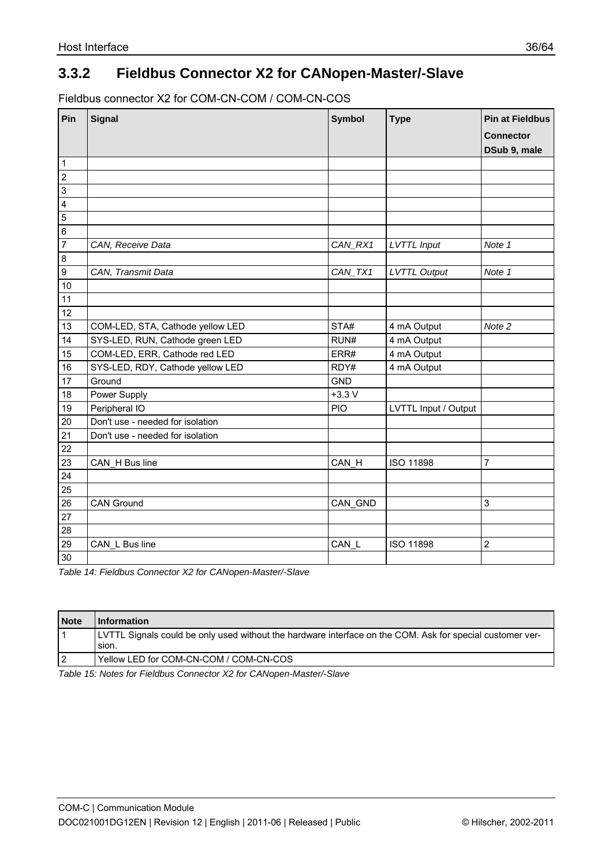## <span id="page-35-0"></span>**3.3.2 Fieldbus Connector X2 for CANopen-Master/-Slave**

Fieldbus connector X2 for COM-CN-COM / COM-CN-COS

| Pin                     | <b>Signal</b>                    | <b>Symbol</b> | <b>Type</b>          | <b>Pin at Fieldbus</b>           |
|-------------------------|----------------------------------|---------------|----------------------|----------------------------------|
|                         |                                  |               |                      | <b>Connector</b><br>DSub 9, male |
| $\mathbf 1$             |                                  |               |                      |                                  |
| $\overline{2}$          |                                  |               |                      |                                  |
| 3                       |                                  |               |                      |                                  |
| $\overline{\mathbf{4}}$ |                                  |               |                      |                                  |
| 5                       |                                  |               |                      |                                  |
| 6                       |                                  |               |                      |                                  |
| $\overline{7}$          | CAN, Receive Data                | CAN_RX1       | <b>LVTTL</b> Input   | Note 1                           |
| 8                       |                                  |               |                      |                                  |
| $\boldsymbol{9}$        | CAN, Transmit Data               | CAN_TX1       | <b>LVTTL Output</b>  | Note 1                           |
| 10                      |                                  |               |                      |                                  |
| 11                      |                                  |               |                      |                                  |
| 12                      |                                  |               |                      |                                  |
| 13                      | COM-LED, STA, Cathode yellow LED | STA#          | 4 mA Output          | Note 2                           |
| 14                      | SYS-LED, RUN, Cathode green LED  | RUN#          | 4 mA Output          |                                  |
| 15                      | COM-LED, ERR, Cathode red LED    | ERR#          | 4 mA Output          |                                  |
| 16                      | SYS-LED, RDY, Cathode yellow LED | RDY#          | 4 mA Output          |                                  |
| 17                      | Ground                           | <b>GND</b>    |                      |                                  |
| 18                      | Power Supply                     | $+3.3 V$      |                      |                                  |
| 19                      | Peripheral IO                    | <b>PIO</b>    | LVTTL Input / Output |                                  |
| 20                      | Don't use - needed for isolation |               |                      |                                  |
| 21                      | Don't use - needed for isolation |               |                      |                                  |
| 22                      |                                  |               |                      |                                  |
| 23                      | CAN H Bus line                   | CAN H         | <b>ISO 11898</b>     | 7                                |
| 24                      |                                  |               |                      |                                  |
| 25                      |                                  |               |                      |                                  |
| 26                      | <b>CAN Ground</b>                | CAN_GND       |                      | 3                                |
| 27                      |                                  |               |                      |                                  |
| 28                      |                                  |               |                      |                                  |
| 29                      | CAN_L Bus line                   | CAN_L         | <b>ISO 11898</b>     | $\overline{\mathbf{c}}$          |
| 30                      |                                  |               |                      |                                  |

*Table 14: Fieldbus Connector X2 for CANopen-Master/-Slave* 

| <b>Note</b>    | <b>Information</b>                                                                                                 |
|----------------|--------------------------------------------------------------------------------------------------------------------|
|                | LVTTL Signals could be only used without the hardware interface on the COM. Ask for special customer ver-<br>sion. |
| $\overline{2}$ | Yellow LED for COM-CN-COM / COM-CN-COS                                                                             |

*Table 15: Notes for Fieldbus Connector X2 for CANopen-Master/-Slave*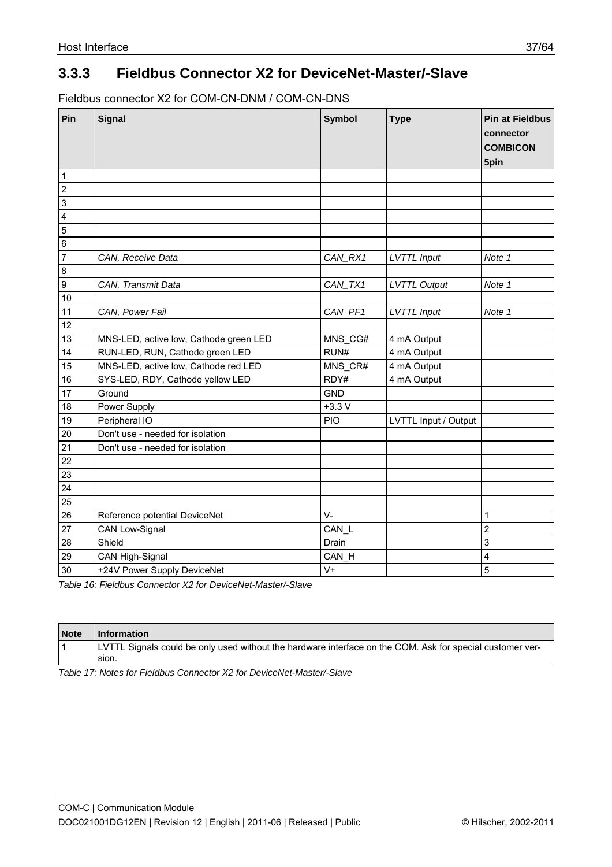#### <span id="page-36-0"></span>**3.3.3 Fieldbus Connector X2 for DeviceNet-Master/-Slave**

Fieldbus connector X2 for COM-CN-DNM / COM-CN-DNS

| Pin                     | <b>Signal</b>                          | <b>Symbol</b> | <b>Type</b>          | <b>Pin at Fieldbus</b><br>connector<br><b>COMBICON</b><br>5pin |
|-------------------------|----------------------------------------|---------------|----------------------|----------------------------------------------------------------|
| 1                       |                                        |               |                      |                                                                |
| $\overline{\mathbf{c}}$ |                                        |               |                      |                                                                |
| 3                       |                                        |               |                      |                                                                |
| 4                       |                                        |               |                      |                                                                |
| 5                       |                                        |               |                      |                                                                |
| 6                       |                                        |               |                      |                                                                |
| $\overline{7}$          | CAN, Receive Data                      | CAN_RX1       | <b>LVTTL</b> Input   | Note 1                                                         |
| 8                       |                                        |               |                      |                                                                |
| $\boldsymbol{9}$        | CAN, Transmit Data                     | CAN_TX1       | <b>LVTTL Output</b>  | Note 1                                                         |
| 10                      |                                        |               |                      |                                                                |
| 11                      | CAN, Power Fail                        | CAN_PF1       | <b>LVTTL</b> Input   | Note 1                                                         |
| 12                      |                                        |               |                      |                                                                |
| 13                      | MNS-LED, active low, Cathode green LED | MNS CG#       | 4 mA Output          |                                                                |
| 14                      | RUN-LED, RUN, Cathode green LED        | RUN#          | 4 mA Output          |                                                                |
| 15                      | MNS-LED, active low, Cathode red LED   | MNS CR#       | 4 mA Output          |                                                                |
| 16                      | SYS-LED, RDY, Cathode yellow LED       | RDY#          | 4 mA Output          |                                                                |
| 17                      | Ground                                 | <b>GND</b>    |                      |                                                                |
| 18                      | Power Supply                           | $+3.3 V$      |                      |                                                                |
| 19                      | Peripheral IO                          | PIO           | LVTTL Input / Output |                                                                |
| 20                      | Don't use - needed for isolation       |               |                      |                                                                |
| 21                      | Don't use - needed for isolation       |               |                      |                                                                |
| 22                      |                                        |               |                      |                                                                |
| 23                      |                                        |               |                      |                                                                |
| 24                      |                                        |               |                      |                                                                |
| 25                      |                                        |               |                      |                                                                |
| 26                      | Reference potential DeviceNet          | $V -$         |                      | 1                                                              |
| 27                      | CAN Low-Signal                         | CAN_L         |                      | $\overline{\mathbf{c}}$                                        |
| 28                      | Shield                                 | Drain         |                      | 3                                                              |
| 29                      | CAN High-Signal                        | CAN_H         |                      | 4                                                              |
| 30                      | +24V Power Supply DeviceNet            | $V +$         |                      | 5                                                              |

*Table 16: Fieldbus Connector X2 for DeviceNet-Master/-Slave* 

| <b>Note</b> | <b>Information</b>                                                                                                 |
|-------------|--------------------------------------------------------------------------------------------------------------------|
|             | LVTTL Signals could be only used without the hardware interface on the COM. Ask for special customer ver-<br>sion. |
|             |                                                                                                                    |

*Table 17: Notes for Fieldbus Connector X2 for DeviceNet-Master/-Slave*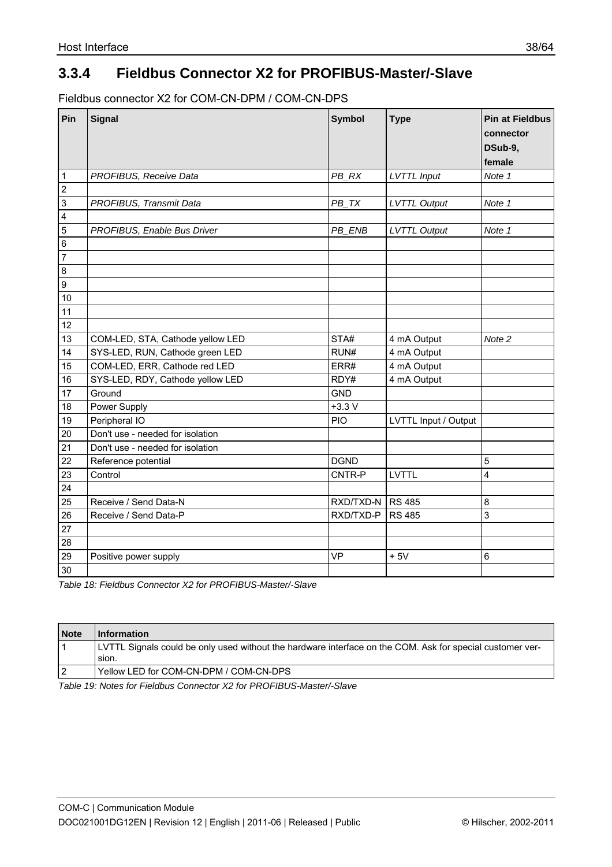#### <span id="page-37-0"></span>**3.3.4 Fieldbus Connector X2 for PROFIBUS-Master/-Slave**

Fieldbus connector X2 for COM-CN-DPM / COM-CN-DPS

| Pin                     | <b>Signal</b>                    | <b>Symbol</b> | <b>Type</b>          | <b>Pin at Fieldbus</b><br>connector<br>DSub-9,<br>female |
|-------------------------|----------------------------------|---------------|----------------------|----------------------------------------------------------|
| $\mathbf{1}$            | PROFIBUS, Receive Data           | PB_RX         | <b>LVTTL</b> Input   | Note 1                                                   |
| $\overline{c}$          |                                  |               |                      |                                                          |
| 3                       | PROFIBUS, Transmit Data          | PB_TX         | <b>LVTTL Output</b>  | Note 1                                                   |
| $\overline{\mathbf{4}}$ |                                  |               |                      |                                                          |
| 5                       | PROFIBUS, Enable Bus Driver      | <b>PB ENB</b> | <b>LVTTL Output</b>  | Note 1                                                   |
| 6                       |                                  |               |                      |                                                          |
| $\overline{7}$          |                                  |               |                      |                                                          |
| 8                       |                                  |               |                      |                                                          |
| 9                       |                                  |               |                      |                                                          |
| 10                      |                                  |               |                      |                                                          |
| 11                      |                                  |               |                      |                                                          |
| 12                      |                                  |               |                      |                                                          |
| 13                      | COM-LED, STA, Cathode yellow LED | STA#          | 4 mA Output          | Note 2                                                   |
| 14                      | SYS-LED, RUN, Cathode green LED  | RUN#          | 4 mA Output          |                                                          |
| 15                      | COM-LED, ERR, Cathode red LED    | ERR#          | 4 mA Output          |                                                          |
| 16                      | SYS-LED, RDY, Cathode yellow LED | RDY#          | 4 mA Output          |                                                          |
| 17                      | Ground                           | <b>GND</b>    |                      |                                                          |
| 18                      | Power Supply                     | $+3.3 V$      |                      |                                                          |
| 19                      | Peripheral IO                    | <b>PIO</b>    | LVTTL Input / Output |                                                          |
| 20                      | Don't use - needed for isolation |               |                      |                                                          |
| 21                      | Don't use - needed for isolation |               |                      |                                                          |
| 22                      | Reference potential              | <b>DGND</b>   |                      | 5                                                        |
| 23                      | Control                          | CNTR-P        | <b>LVTTL</b>         | $\overline{\mathbf{4}}$                                  |
| 24                      |                                  |               |                      |                                                          |
| 25                      | Receive / Send Data-N            | RXD/TXD-N     | <b>RS 485</b>        | 8                                                        |
| 26                      | Receive / Send Data-P            | RXD/TXD-P     | <b>RS 485</b>        | 3                                                        |
| 27                      |                                  |               |                      |                                                          |
| 28                      |                                  |               |                      |                                                          |
| 29                      | Positive power supply            | <b>VP</b>     | $+5V$                | $\,6$                                                    |
| 30                      |                                  |               |                      |                                                          |

*Table 18: Fieldbus Connector X2 for PROFIBUS-Master/-Slave* 

| <b>Note</b> | <b>Information</b>                                                                                                 |
|-------------|--------------------------------------------------------------------------------------------------------------------|
|             | LVTTL Signals could be only used without the hardware interface on the COM. Ask for special customer ver-<br>sion. |
| 12          | Yellow LED for COM-CN-DPM / COM-CN-DPS                                                                             |

*Table 19: Notes for Fieldbus Connector X2 for PROFIBUS-Master/-Slave*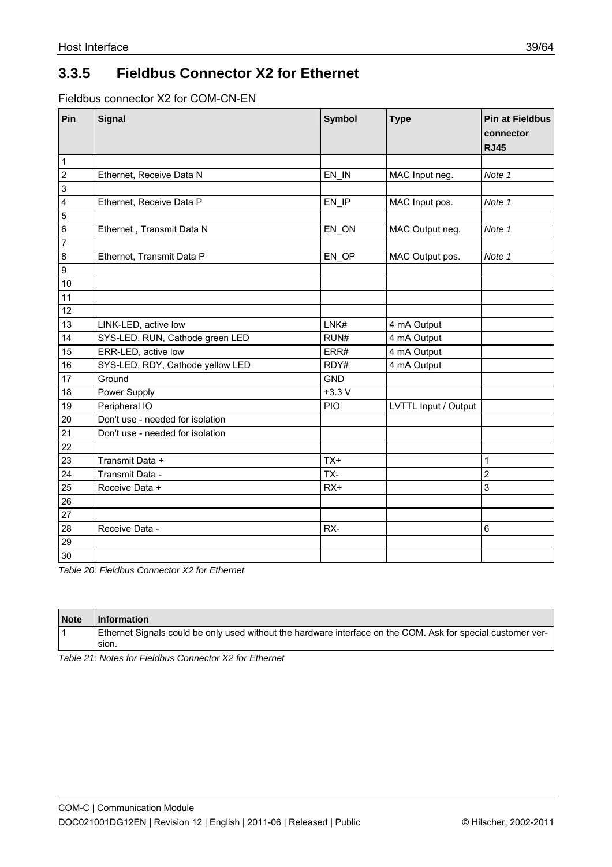<span id="page-38-0"></span>Fieldbus connector X2 for COM-CN-EN

| Pin              | <b>Signal</b>                    | <b>Symbol</b> | <b>Type</b>          | <b>Pin at Fieldbus</b><br>connector<br><b>RJ45</b> |
|------------------|----------------------------------|---------------|----------------------|----------------------------------------------------|
| 1                |                                  |               |                      |                                                    |
| $\boldsymbol{2}$ | Ethernet, Receive Data N         | EN_IN         | MAC Input neg.       | Note 1                                             |
| 3                |                                  |               |                      |                                                    |
| 4                | Ethernet, Receive Data P         | EN IP         | MAC Input pos.       | Note 1                                             |
| 5                |                                  |               |                      |                                                    |
| $\,6$            | Ethernet, Transmit Data N        | EN_ON         | MAC Output neg.      | Note 1                                             |
| $\overline{7}$   |                                  |               |                      |                                                    |
| 8                | Ethernet, Transmit Data P        | EN_OP         | MAC Output pos.      | Note 1                                             |
| 9                |                                  |               |                      |                                                    |
| 10               |                                  |               |                      |                                                    |
| 11               |                                  |               |                      |                                                    |
| 12               |                                  |               |                      |                                                    |
| 13               | LINK-LED, active low             | LNK#          | 4 mA Output          |                                                    |
| 14               | SYS-LED, RUN, Cathode green LED  | RUN#          | 4 mA Output          |                                                    |
| 15               | ERR-LED, active low              | ERR#          | 4 mA Output          |                                                    |
| 16               | SYS-LED, RDY, Cathode yellow LED | RDY#          | 4 mA Output          |                                                    |
| 17               | Ground                           | <b>GND</b>    |                      |                                                    |
| 18               | Power Supply                     | $+3.3 V$      |                      |                                                    |
| 19               | Peripheral IO                    | <b>PIO</b>    | LVTTL Input / Output |                                                    |
| 20               | Don't use - needed for isolation |               |                      |                                                    |
| 21               | Don't use - needed for isolation |               |                      |                                                    |
| 22               |                                  |               |                      |                                                    |
| 23               | Transmit Data +                  | TX+           |                      | 1                                                  |
| 24               | Transmit Data -                  | TX-           |                      | $\overline{c}$                                     |
| 25               | Receive Data +                   | $RX+$         |                      | 3                                                  |
| 26               |                                  |               |                      |                                                    |
| 27               |                                  |               |                      |                                                    |
| 28               | Receive Data -                   | RX-           |                      | 6                                                  |
| 29               |                                  |               |                      |                                                    |
| 30               |                                  |               |                      |                                                    |

*Table 20: Fieldbus Connector X2 for Ethernet* 

| <b>Note</b> | Information                                                                                                  |
|-------------|--------------------------------------------------------------------------------------------------------------|
|             | Ethernet Signals could be only used without the hardware interface on the COM. Ask for special customer ver- |
|             | sion.                                                                                                        |
|             | _ _ _                                                                                                        |

*Table 21: Notes for Fieldbus Connector X2 for Ethernet*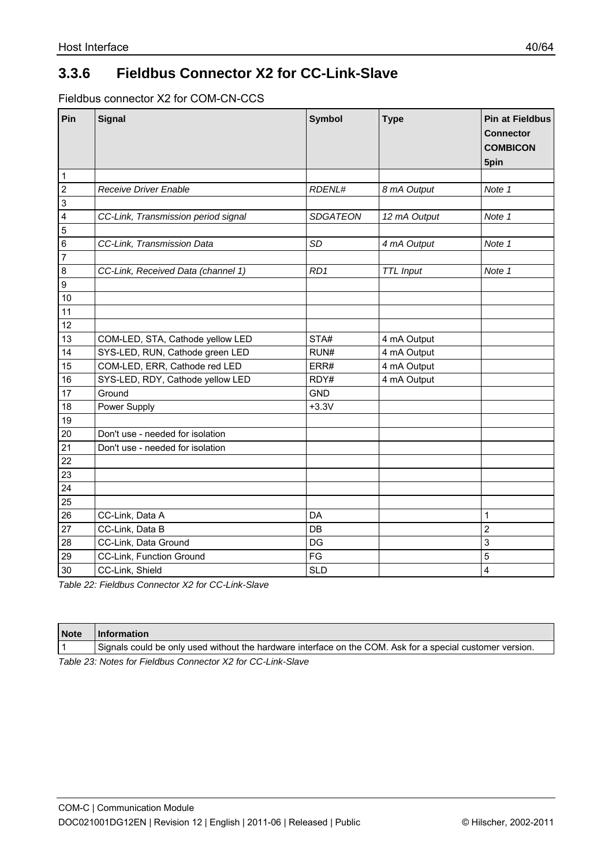## <span id="page-39-0"></span>**3.3.6 Fieldbus Connector X2 for CC-Link-Slave**

Fieldbus connector X2 for COM-CN-CCS

| Pin            | <b>Signal</b>                       | <b>Symbol</b>   | <b>Type</b>      | <b>Pin at Fieldbus</b><br><b>Connector</b><br><b>COMBICON</b><br>5pin |
|----------------|-------------------------------------|-----------------|------------------|-----------------------------------------------------------------------|
| 1              |                                     |                 |                  |                                                                       |
| $\overline{2}$ | <b>Receive Driver Enable</b>        | RDENL#          | 8 mA Output      | Note 1                                                                |
| 3              |                                     |                 |                  |                                                                       |
| 4              | CC-Link, Transmission period signal | <b>SDGATEON</b> | 12 mA Output     | Note 1                                                                |
| 5              |                                     |                 |                  |                                                                       |
| 6              | CC-Link, Transmission Data          | <b>SD</b>       | 4 mA Output      | Note 1                                                                |
| 7              |                                     |                 |                  |                                                                       |
| 8              | CC-Link, Received Data (channel 1)  | RD <sub>1</sub> | <b>TTL</b> Input | Note 1                                                                |
| 9              |                                     |                 |                  |                                                                       |
| 10             |                                     |                 |                  |                                                                       |
| 11             |                                     |                 |                  |                                                                       |
| 12             |                                     |                 |                  |                                                                       |
| 13             | COM-LED, STA, Cathode yellow LED    | STA#            | 4 mA Output      |                                                                       |
| 14             | SYS-LED, RUN, Cathode green LED     | RUN#            | 4 mA Output      |                                                                       |
| 15             | COM-LED, ERR, Cathode red LED       | ERR#            | 4 mA Output      |                                                                       |
| 16             | SYS-LED, RDY, Cathode yellow LED    | RDY#            | 4 mA Output      |                                                                       |
| 17             | Ground                              | <b>GND</b>      |                  |                                                                       |
| 18             | Power Supply                        | $+3.3V$         |                  |                                                                       |
| 19             |                                     |                 |                  |                                                                       |
| 20             | Don't use - needed for isolation    |                 |                  |                                                                       |
| 21             | Don't use - needed for isolation    |                 |                  |                                                                       |
| 22             |                                     |                 |                  |                                                                       |
| 23             |                                     |                 |                  |                                                                       |
| 24             |                                     |                 |                  |                                                                       |
| 25             |                                     |                 |                  |                                                                       |
| 26             | CC-Link, Data A                     | DA              |                  | 1                                                                     |
| 27             | CC-Link, Data B                     | DB              |                  | $\overline{2}$                                                        |
| 28             | CC-Link, Data Ground                | DG              |                  | 3                                                                     |
| 29             | CC-Link, Function Ground            | FG              |                  | 5                                                                     |
| 30             | CC-Link, Shield                     | <b>SLD</b>      |                  | 4                                                                     |

*Table 22: Fieldbus Connector X2 for CC-Link-Slave* 

| <b>Note</b> | Information                                                                                               |
|-------------|-----------------------------------------------------------------------------------------------------------|
|             | Signals could be only used without the hardware interface on the COM. Ask for a special customer version. |
|             | Table 23: Notes for Fieldbus Connector X2 for CC-Link-Slave                                               |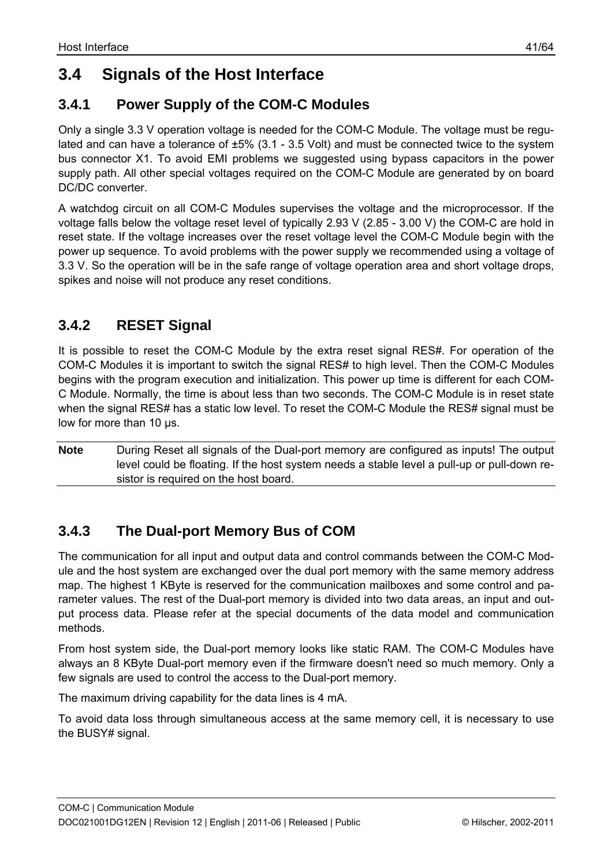## <span id="page-40-0"></span>**3.4 Signals of the Host Interface**

### **3.4.1 Power Supply of the COM-C Modules**

Only a single 3.3 V operation voltage is needed for the COM-C Module. The voltage must be regulated and can have a tolerance of  $\pm 5\%$  (3.1 - 3.5 Volt) and must be connected twice to the system bus connector X1. To avoid EMI problems we suggested using bypass capacitors in the power supply path. All other special voltages required on the COM-C Module are generated by on board DC/DC converter.

A watchdog circuit on all COM-C Modules supervises the voltage and the microprocessor. If the voltage falls below the voltage reset level of typically 2.93 V (2.85 - 3.00 V) the COM-C are hold in reset state. If the voltage increases over the reset voltage level the COM-C Module begin with the power up sequence. To avoid problems with the power supply we recommended using a voltage of 3.3 V. So the operation will be in the safe range of voltage operation area and short voltage drops, spikes and noise will not produce any reset conditions.

## **3.4.2 RESET Signal**

It is possible to reset the COM-C Module by the extra reset signal RES#. For operation of the COM-C Modules it is important to switch the signal RES# to high level. Then the COM-C Modules begins with the program execution and initialization. This power up time is different for each COM-C Module. Normally, the time is about less than two seconds. The COM-C Module is in reset state when the signal RES# has a static low level. To reset the COM-C Module the RES# signal must be low for more than 10 µs.

**Note** During Reset all signals of the Dual-port memory are configured as inputs! The output level could be floating. If the host system needs a stable level a pull-up or pull-down resistor is required on the host board.

## **3.4.3 The Dual-port Memory Bus of COM**

The communication for all input and output data and control commands between the COM-C Module and the host system are exchanged over the dual port memory with the same memory address map. The highest 1 KByte is reserved for the communication mailboxes and some control and parameter values. The rest of the Dual-port memory is divided into two data areas, an input and output process data. Please refer at the special documents of the data model and communication methods.

From host system side, the Dual-port memory looks like static RAM. The COM-C Modules have always an 8 KByte Dual-port memory even if the firmware doesn't need so much memory. Only a few signals are used to control the access to the Dual-port memory.

The maximum driving capability for the data lines is 4 mA.

To avoid data loss through simultaneous access at the same memory cell, it is necessary to use the BUSY# signal.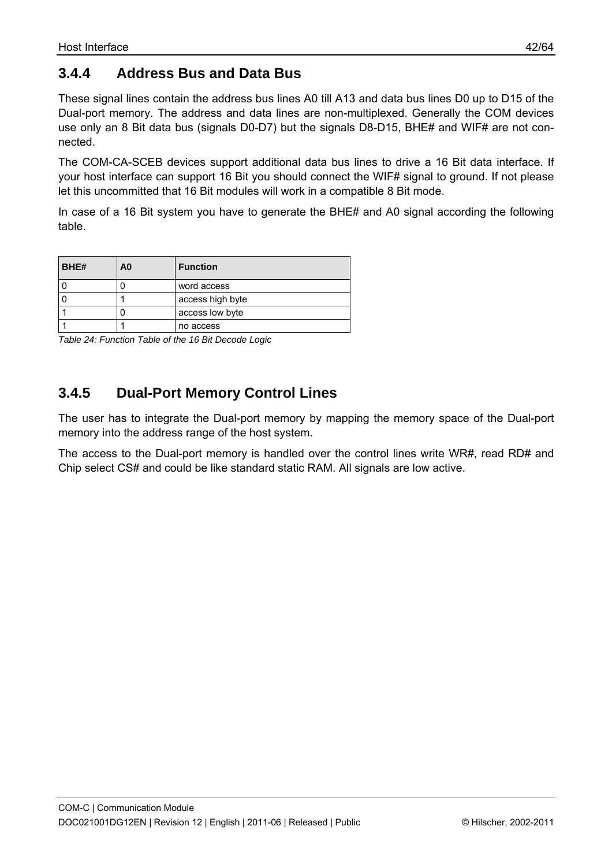#### <span id="page-41-0"></span>**3.4.4 Address Bus and Data Bus**

These signal lines contain the address bus lines A0 till A13 and data bus lines D0 up to D15 of the Dual-port memory. The address and data lines are non-multiplexed. Generally the COM devices use only an 8 Bit data bus (signals D0-D7) but the signals D8-D15, BHE# and WIF# are not connected.

The COM-CA-SCEB devices support additional data bus lines to drive a 16 Bit data interface. If your host interface can support 16 Bit you should connect the WIF# signal to ground. If not please let this uncommitted that 16 Bit modules will work in a compatible 8 Bit mode.

In case of a 16 Bit system you have to generate the BHE# and A0 signal according the following table.

| BHE# | A <sub>0</sub> | <b>Function</b>  |
|------|----------------|------------------|
|      |                | word access      |
|      |                | access high byte |
|      |                | access low byte  |
|      |                | no access        |

*Table 24: Function Table of the 16 Bit Decode Logic* 

### **3.4.5 Dual-Port Memory Control Lines**

The user has to integrate the Dual-port memory by mapping the memory space of the Dual-port memory into the address range of the host system.

The access to the Dual-port memory is handled over the control lines write WR#, read RD# and Chip select CS# and could be like standard static RAM. All signals are low active.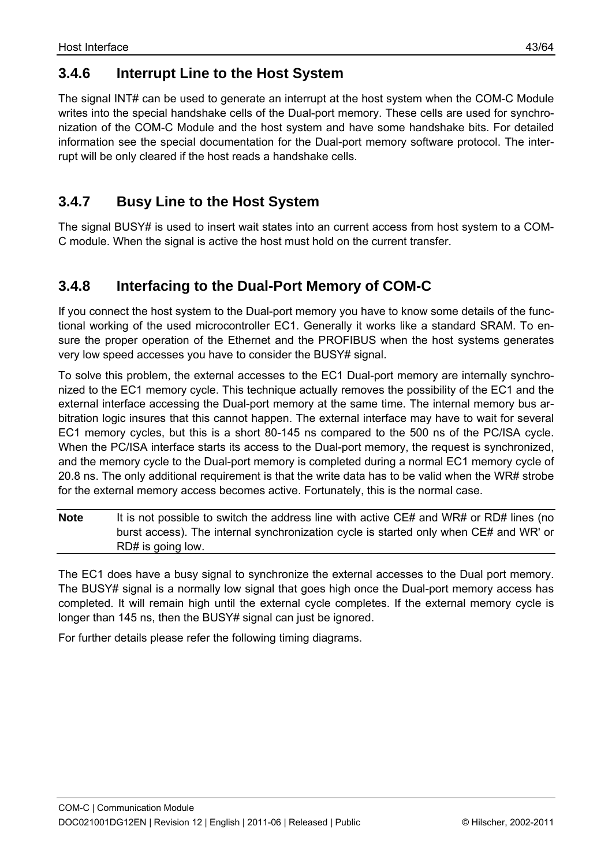<span id="page-42-0"></span>The signal INT# can be used to generate an interrupt at the host system when the COM-C Module writes into the special handshake cells of the Dual-port memory. These cells are used for synchronization of the COM-C Module and the host system and have some handshake bits. For detailed information see the special documentation for the Dual-port memory software protocol. The interrupt will be only cleared if the host reads a handshake cells.

## **3.4.7 Busy Line to the Host System**

The signal BUSY# is used to insert wait states into an current access from host system to a COM-C module. When the signal is active the host must hold on the current transfer.

## **3.4.8 Interfacing to the Dual-Port Memory of COM-C**

If you connect the host system to the Dual-port memory you have to know some details of the functional working of the used microcontroller EC1. Generally it works like a standard SRAM. To ensure the proper operation of the Ethernet and the PROFIBUS when the host systems generates very low speed accesses you have to consider the BUSY# signal.

To solve this problem, the external accesses to the EC1 Dual-port memory are internally synchronized to the EC1 memory cycle. This technique actually removes the possibility of the EC1 and the external interface accessing the Dual-port memory at the same time. The internal memory bus arbitration logic insures that this cannot happen. The external interface may have to wait for several EC1 memory cycles, but this is a short 80-145 ns compared to the 500 ns of the PC/ISA cycle. When the PC/ISA interface starts its access to the Dual-port memory, the request is synchronized, and the memory cycle to the Dual-port memory is completed during a normal EC1 memory cycle of 20.8 ns. The only additional requirement is that the write data has to be valid when the WR# strobe for the external memory access becomes active. Fortunately, this is the normal case.

**Note** It is not possible to switch the address line with active CE# and WR# or RD# lines (no burst access). The internal synchronization cycle is started only when CE# and WR' or RD# is going low.

The EC1 does have a busy signal to synchronize the external accesses to the Dual port memory. The BUSY# signal is a normally low signal that goes high once the Dual-port memory access has completed. It will remain high until the external cycle completes. If the external memory cycle is longer than 145 ns, then the BUSY# signal can just be ignored.

For further details please refer the following timing diagrams.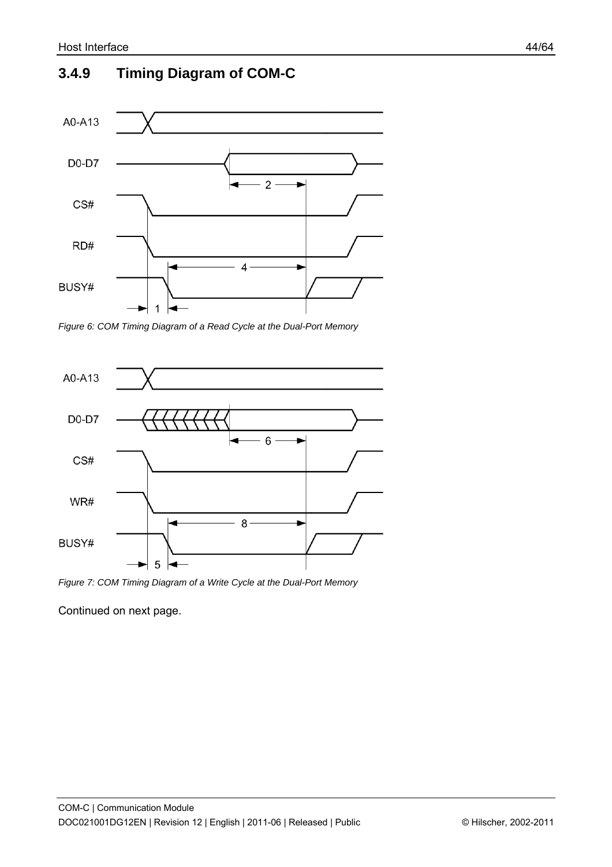#### <span id="page-43-0"></span>**3.4.9 Timing Diagram of COM-C**



*Figure 6: COM Timing Diagram of a Read Cycle at the Dual-Port Memory* 



*Figure 7: COM Timing Diagram of a Write Cycle at the Dual-Port Memory* 

Continued on next page.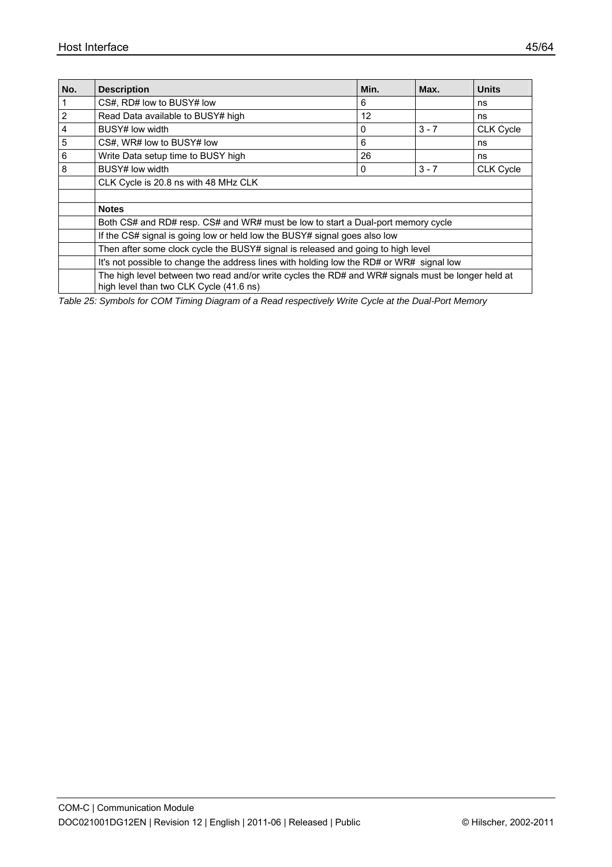<span id="page-44-0"></span>

| No. | <b>Description</b>                                                                                                                            | Min. | Max.    | <b>Units</b>     |  |  |
|-----|-----------------------------------------------------------------------------------------------------------------------------------------------|------|---------|------------------|--|--|
| 1   | CS#, RD# low to BUSY# low                                                                                                                     | 6    |         | ns               |  |  |
| 2   | Read Data available to BUSY# high                                                                                                             | 12   |         | ns               |  |  |
| 4   | BUSY# low width                                                                                                                               | 0    | $3 - 7$ | <b>CLK Cycle</b> |  |  |
| 5   | CS#, WR# low to BUSY# low                                                                                                                     | 6    |         | ns               |  |  |
| 6   | Write Data setup time to BUSY high                                                                                                            | 26   |         | ns               |  |  |
| 8   | BUSY# low width                                                                                                                               | 0    | $3 - 7$ | <b>CLK Cycle</b> |  |  |
|     | CLK Cycle is 20.8 ns with 48 MHz CLK                                                                                                          |      |         |                  |  |  |
|     |                                                                                                                                               |      |         |                  |  |  |
|     | <b>Notes</b>                                                                                                                                  |      |         |                  |  |  |
|     | Both CS# and RD# resp. CS# and WR# must be low to start a Dual-port memory cycle                                                              |      |         |                  |  |  |
|     | If the CS# signal is going low or held low the BUSY# signal goes also low                                                                     |      |         |                  |  |  |
|     | Then after some clock cycle the BUSY# signal is released and going to high level                                                              |      |         |                  |  |  |
|     | It's not possible to change the address lines with holding low the RD# or WR# signal low                                                      |      |         |                  |  |  |
|     | The high level between two read and/or write cycles the RD# and WR# signals must be longer held at<br>high level than two CLK Cycle (41.6 ns) |      |         |                  |  |  |

*Table 25: Symbols for COM Timing Diagram of a Read respectively Write Cycle at the Dual-Port Memory*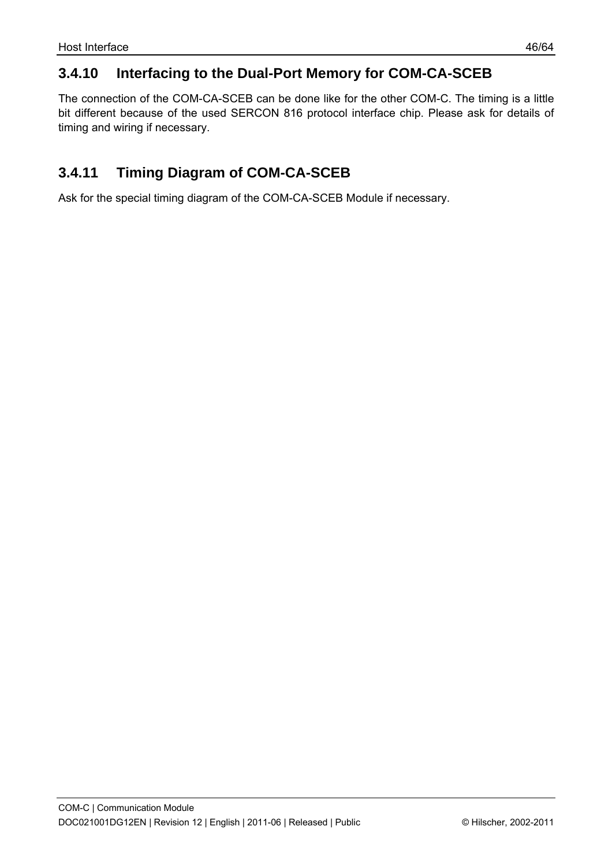## <span id="page-45-0"></span>**3.4.10 Interfacing to the Dual-Port Memory for COM-CA-SCEB**

The connection of the COM-CA-SCEB can be done like for the other COM-C. The timing is a little bit different because of the used SERCON 816 protocol interface chip. Please ask for details of timing and wiring if necessary.

## **3.4.11 Timing Diagram of COM-CA-SCEB**

Ask for the special timing diagram of the COM-CA-SCEB Module if necessary.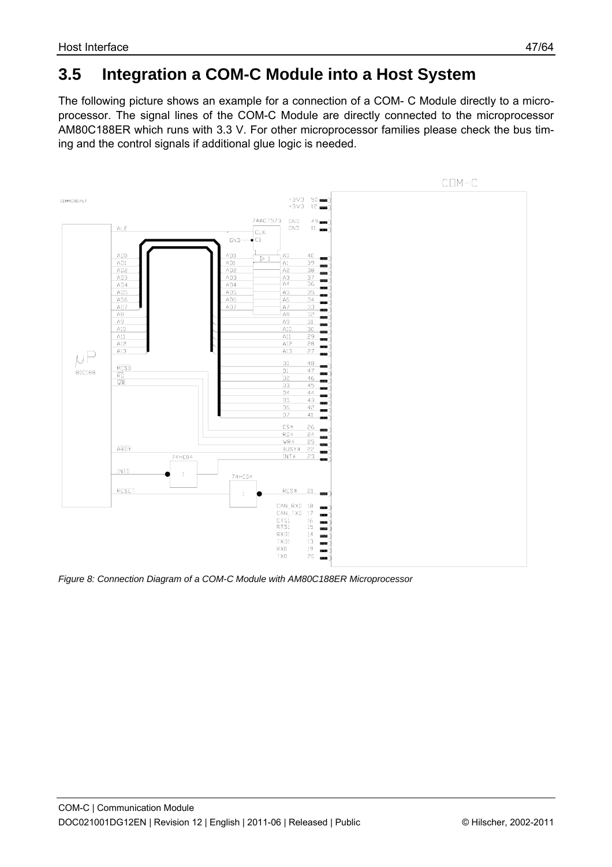## <span id="page-46-0"></span>**3.5 Integration a COM-C Module into a Host System**

The following picture shows an example for a connection of a COM- C Module directly to a microprocessor. The signal lines of the COM-C Module are directly connected to the microprocessor AM80C188ER which runs with 3.3 V. For other microprocessor families please check the bus timing and the control signals if additional glue logic is needed.



*Figure 8: Connection Diagram of a COM-C Module with AM80C188ER Microprocessor*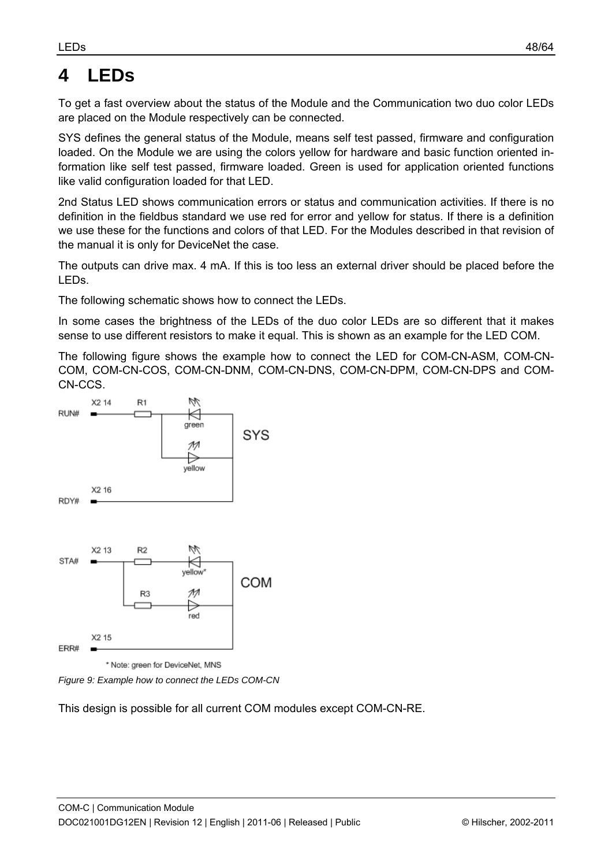# <span id="page-47-0"></span>**4 LEDs**

To get a fast overview about the status of the Module and the Communication two duo color LEDs are placed on the Module respectively can be connected.

SYS defines the general status of the Module, means self test passed, firmware and configuration loaded. On the Module we are using the colors yellow for hardware and basic function oriented information like self test passed, firmware loaded. Green is used for application oriented functions like valid configuration loaded for that LED.

2nd Status LED shows communication errors or status and communication activities. If there is no definition in the fieldbus standard we use red for error and yellow for status. If there is a definition we use these for the functions and colors of that LED. For the Modules described in that revision of the manual it is only for DeviceNet the case.

The outputs can drive max. 4 mA. If this is too less an external driver should be placed before the LEDs.

The following schematic shows how to connect the LEDs.

In some cases the brightness of the LEDs of the duo color LEDs are so different that it makes sense to use different resistors to make it equal. This is shown as an example for the LED COM.

The following figure shows the example how to connect the LED for COM-CN-ASM, COM-CN-COM, COM-CN-COS, COM-CN-DNM, COM-CN-DNS, COM-CN-DPM, COM-CN-DPS and COM-CN-CCS.



*Figure 9: Example how to connect the LEDs COM-CN* 

This design is possible for all current COM modules except COM-CN-RE.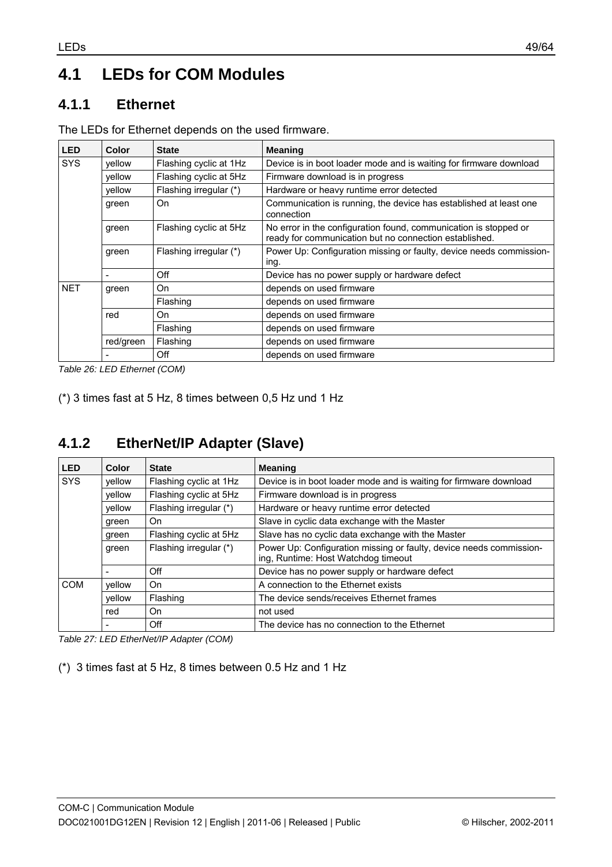# <span id="page-48-0"></span>**4.1 LEDs for COM Modules**

#### **4.1.1 Ethernet**

| <b>LED</b> | Color     | <b>State</b>           | <b>Meaning</b>                                                                                                             |
|------------|-----------|------------------------|----------------------------------------------------------------------------------------------------------------------------|
| <b>SYS</b> | vellow    | Flashing cyclic at 1Hz | Device is in boot loader mode and is waiting for firmware download                                                         |
|            | yellow    | Flashing cyclic at 5Hz | Firmware download is in progress                                                                                           |
|            | vellow    | Flashing irregular (*) | Hardware or heavy runtime error detected                                                                                   |
|            | green     | On                     | Communication is running, the device has established at least one<br>connection                                            |
|            | green     | Flashing cyclic at 5Hz | No error in the configuration found, communication is stopped or<br>ready for communication but no connection established. |
|            | green     | Flashing irregular (*) | Power Up: Configuration missing or faulty, device needs commission-<br>ing.                                                |
|            |           | Off                    | Device has no power supply or hardware defect                                                                              |
| <b>NET</b> | green     | On                     | depends on used firmware                                                                                                   |
|            |           | Flashing               | depends on used firmware                                                                                                   |
|            | red       | On                     | depends on used firmware                                                                                                   |
|            |           | Flashing               | depends on used firmware                                                                                                   |
|            | red/green | Flashing               | depends on used firmware                                                                                                   |
|            |           | Off                    | depends on used firmware                                                                                                   |

The LEDs for Ethernet depends on the used firmware.

*Table 26: LED Ethernet (COM)* 

(\*) 3 times fast at 5 Hz, 8 times between 0,5 Hz und 1 Hz

### **4.1.2 EtherNet/IP Adapter (Slave)**

| <b>LED</b> | Color  | <b>State</b>           | <b>Meaning</b>                                                                                             |
|------------|--------|------------------------|------------------------------------------------------------------------------------------------------------|
| <b>SYS</b> | vellow | Flashing cyclic at 1Hz | Device is in boot loader mode and is waiting for firmware download                                         |
|            | yellow | Flashing cyclic at 5Hz | Firmware download is in progress                                                                           |
|            | yellow | Flashing irregular (*) | Hardware or heavy runtime error detected                                                                   |
|            | green  | On                     | Slave in cyclic data exchange with the Master                                                              |
|            | green  | Flashing cyclic at 5Hz | Slave has no cyclic data exchange with the Master                                                          |
|            | green  | Flashing irregular (*) | Power Up: Configuration missing or faulty, device needs commission-<br>ing, Runtime: Host Watchdog timeout |
|            |        | Off                    | Device has no power supply or hardware defect                                                              |
| <b>COM</b> | vellow | On                     | A connection to the Ethernet exists                                                                        |
|            | vellow | Flashing               | The device sends/receives Ethernet frames                                                                  |
|            | red    | On                     | not used                                                                                                   |
|            |        | Off                    | The device has no connection to the Ethernet                                                               |

*Table 27: LED EtherNet/IP Adapter (COM)*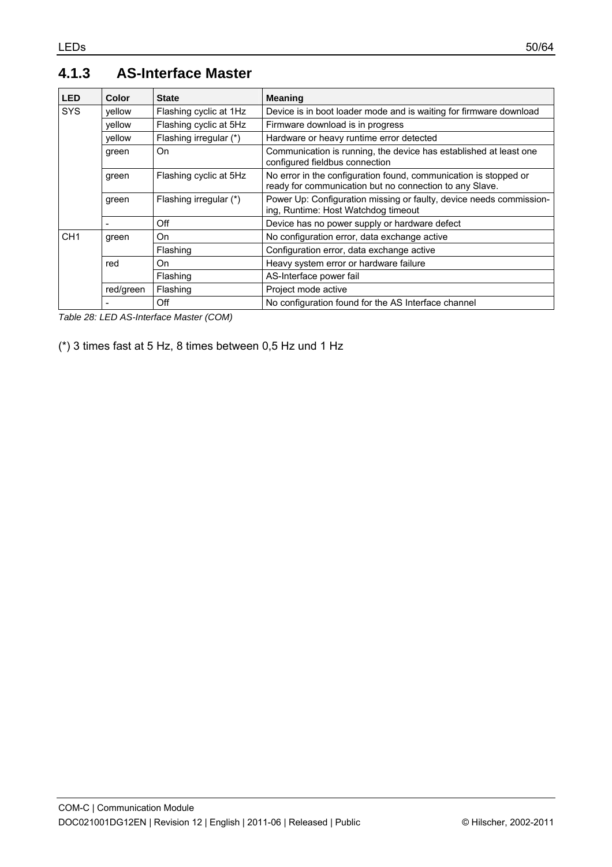### <span id="page-49-0"></span>**4.1.3 AS-Interface Master**

| <b>LED</b>      | Color     | <b>State</b>           | <b>Meaning</b>                                                                                                              |
|-----------------|-----------|------------------------|-----------------------------------------------------------------------------------------------------------------------------|
| <b>SYS</b>      | yellow    | Flashing cyclic at 1Hz | Device is in boot loader mode and is waiting for firmware download                                                          |
|                 | vellow    | Flashing cyclic at 5Hz | Firmware download is in progress                                                                                            |
|                 | vellow    | Flashing irregular (*) | Hardware or heavy runtime error detected                                                                                    |
|                 | green     | On                     | Communication is running, the device has established at least one<br>configured fieldbus connection                         |
|                 | green     | Flashing cyclic at 5Hz | No error in the configuration found, communication is stopped or<br>ready for communication but no connection to any Slave. |
|                 | green     | Flashing irregular (*) | Power Up: Configuration missing or faulty, device needs commission-<br>ing, Runtime: Host Watchdog timeout                  |
|                 |           | Off                    | Device has no power supply or hardware defect                                                                               |
| CH <sub>1</sub> | green     | On                     | No configuration error, data exchange active                                                                                |
|                 |           | Flashing               | Configuration error, data exchange active                                                                                   |
|                 | red       | On                     | Heavy system error or hardware failure                                                                                      |
|                 |           | Flashing               | AS-Interface power fail                                                                                                     |
|                 | red/green | Flashing               | Project mode active                                                                                                         |
|                 |           | Off                    | No configuration found for the AS Interface channel                                                                         |

*Table 28: LED AS-Interface Master (COM)*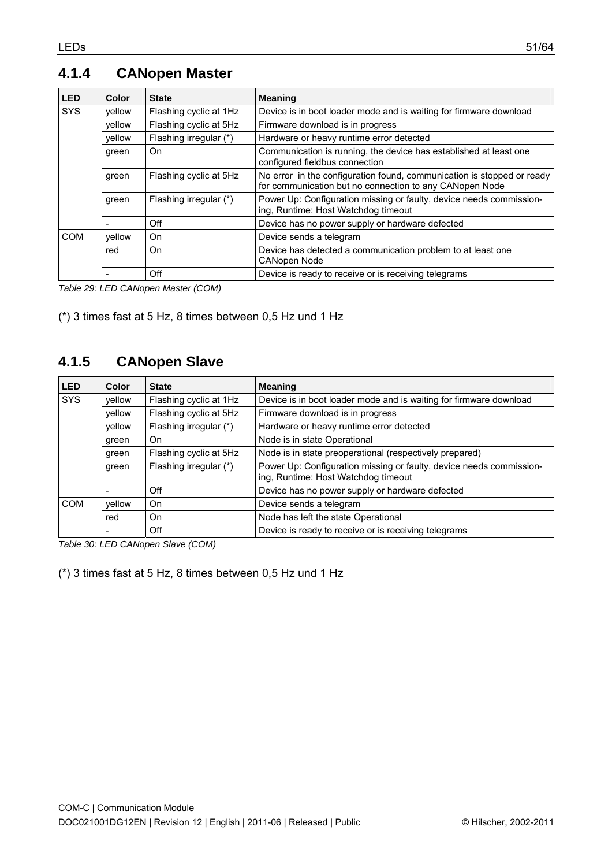#### <span id="page-50-0"></span>**4.1.4 CANopen Master**

| <b>LED</b> | Color  | <b>State</b>           | <b>Meaning</b>                                                                                                                    |
|------------|--------|------------------------|-----------------------------------------------------------------------------------------------------------------------------------|
| <b>SYS</b> | yellow | Flashing cyclic at 1Hz | Device is in boot loader mode and is waiting for firmware download                                                                |
|            | vellow | Flashing cyclic at 5Hz | Firmware download is in progress                                                                                                  |
|            | yellow | Flashing irregular (*) | Hardware or heavy runtime error detected                                                                                          |
|            | green  | On                     | Communication is running, the device has established at least one<br>configured fieldbus connection                               |
|            | green  | Flashing cyclic at 5Hz | No error in the configuration found, communication is stopped or ready<br>for communication but no connection to any CANopen Node |
|            | green  | Flashing irregular (*) | Power Up: Configuration missing or faulty, device needs commission-<br>ing, Runtime: Host Watchdog timeout                        |
|            |        | Off                    | Device has no power supply or hardware defected                                                                                   |
| <b>COM</b> | vellow | On                     | Device sends a telegram                                                                                                           |
|            | red    | On                     | Device has detected a communication problem to at least one<br><b>CANopen Node</b>                                                |
|            |        | Off                    | Device is ready to receive or is receiving telegrams                                                                              |

*Table 29: LED CANopen Master (COM)* 

(\*) 3 times fast at 5 Hz, 8 times between 0,5 Hz und 1 Hz

### **4.1.5 CANopen Slave**

| <b>LED</b> | Color  | <b>State</b>           | <b>Meaning</b>                                                                                             |
|------------|--------|------------------------|------------------------------------------------------------------------------------------------------------|
| <b>SYS</b> | vellow | Flashing cyclic at 1Hz | Device is in boot loader mode and is waiting for firmware download                                         |
|            | vellow | Flashing cyclic at 5Hz | Firmware download is in progress                                                                           |
|            | yellow | Flashing irregular (*) | Hardware or heavy runtime error detected                                                                   |
|            | green  | On                     | Node is in state Operational                                                                               |
|            | green  | Flashing cyclic at 5Hz | Node is in state preoperational (respectively prepared)                                                    |
|            | green  | Flashing irregular (*) | Power Up: Configuration missing or faulty, device needs commission-<br>ing, Runtime: Host Watchdog timeout |
|            |        | Off                    | Device has no power supply or hardware defected                                                            |
| <b>COM</b> | vellow | On                     | Device sends a telegram                                                                                    |
|            | red    | On                     | Node has left the state Operational                                                                        |
|            |        | Off                    | Device is ready to receive or is receiving telegrams                                                       |

*Table 30: LED CANopen Slave (COM)*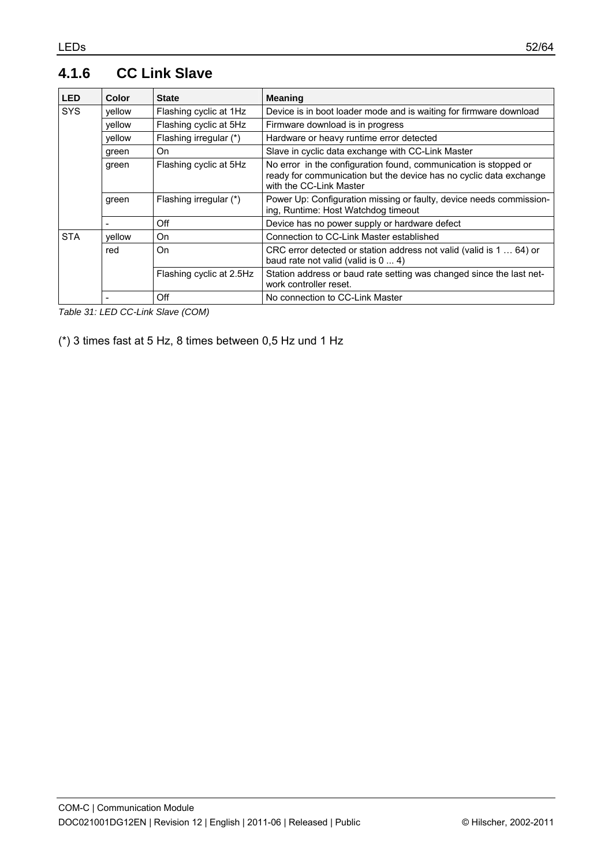### <span id="page-51-0"></span>**4.1.6 CC Link Slave**

| <b>LED</b> | Color                    | <b>State</b>             | <b>Meaning</b>                                                                                                                                                    |
|------------|--------------------------|--------------------------|-------------------------------------------------------------------------------------------------------------------------------------------------------------------|
| <b>SYS</b> | vellow                   | Flashing cyclic at 1Hz   | Device is in boot loader mode and is waiting for firmware download                                                                                                |
|            | vellow                   | Flashing cyclic at 5Hz   | Firmware download is in progress                                                                                                                                  |
|            | vellow                   | Flashing irregular (*)   | Hardware or heavy runtime error detected                                                                                                                          |
|            | green                    | On                       | Slave in cyclic data exchange with CC-Link Master                                                                                                                 |
|            | green                    | Flashing cyclic at 5Hz   | No error in the configuration found, communication is stopped or<br>ready for communication but the device has no cyclic data exchange<br>with the CC-Link Master |
|            | green                    | Flashing irregular (*)   | Power Up: Configuration missing or faulty, device needs commission-<br>ing, Runtime: Host Watchdog timeout                                                        |
|            | $\overline{\phantom{a}}$ | Off                      | Device has no power supply or hardware defect                                                                                                                     |
| <b>STA</b> | yellow                   | On                       | Connection to CC-Link Master established                                                                                                                          |
|            | red                      | On                       | CRC error detected or station address not valid (valid is 1  64) or<br>baud rate not valid (valid is 0  4)                                                        |
|            |                          | Flashing cyclic at 2.5Hz | Station address or baud rate setting was changed since the last net-<br>work controller reset.                                                                    |
|            | ۰                        | Off                      | No connection to CC-Link Master                                                                                                                                   |

*Table 31: LED CC-Link Slave (COM)*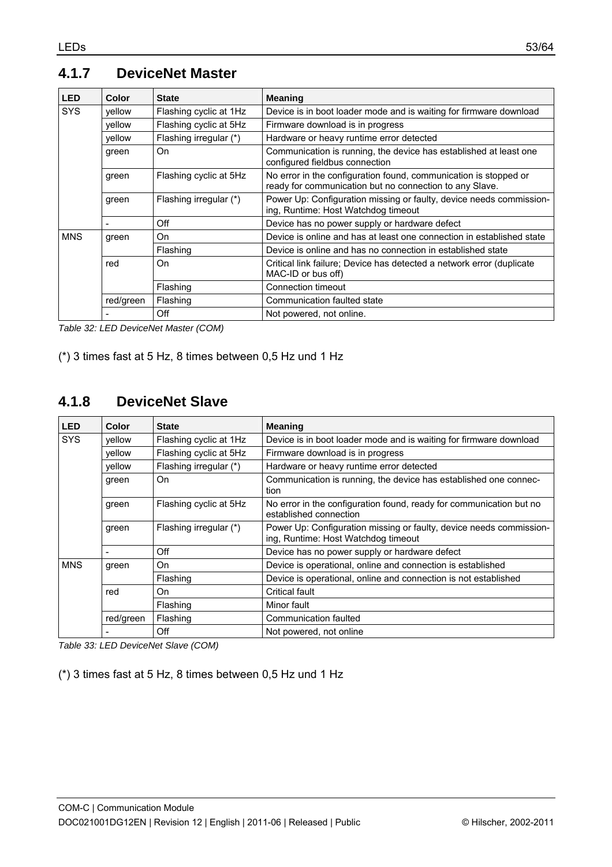#### <span id="page-52-0"></span>**4.1.7 DeviceNet Master**

| <b>LED</b>          | Color     | <b>State</b>           | <b>Meaning</b>                                                                                                              |  |
|---------------------|-----------|------------------------|-----------------------------------------------------------------------------------------------------------------------------|--|
| <b>SYS</b>          | vellow    | Flashing cyclic at 1Hz | Device is in boot loader mode and is waiting for firmware download                                                          |  |
|                     | vellow    | Flashing cyclic at 5Hz | Firmware download is in progress                                                                                            |  |
|                     | vellow    | Flashing irregular (*) | Hardware or heavy runtime error detected                                                                                    |  |
|                     | green     | On                     | Communication is running, the device has established at least one<br>configured fieldbus connection                         |  |
|                     | green     | Flashing cyclic at 5Hz | No error in the configuration found, communication is stopped or<br>ready for communication but no connection to any Slave. |  |
|                     | green     | Flashing irregular (*) | Power Up: Configuration missing or faulty, device needs commission-<br>ing, Runtime: Host Watchdog timeout                  |  |
|                     |           | Off                    | Device has no power supply or hardware defect                                                                               |  |
| <b>MNS</b><br>green |           | On                     | Device is online and has at least one connection in established state                                                       |  |
|                     |           | Flashing               | Device is online and has no connection in established state                                                                 |  |
|                     | red       | On                     | Critical link failure; Device has detected a network error (duplicate<br>MAC-ID or bus off)                                 |  |
|                     |           | Flashing               | Connection timeout                                                                                                          |  |
|                     | red/green | Flashing               | Communication faulted state                                                                                                 |  |
|                     |           | Off                    | Not powered, not online.                                                                                                    |  |

*Table 32: LED DeviceNet Master (COM)* 

(\*) 3 times fast at 5 Hz, 8 times between 0,5 Hz und 1 Hz

### **4.1.8 DeviceNet Slave**

| <b>LED</b> | Color       | <b>State</b>           | <b>Meaning</b>                                                                                             |  |  |
|------------|-------------|------------------------|------------------------------------------------------------------------------------------------------------|--|--|
| <b>SYS</b> | yellow      | Flashing cyclic at 1Hz | Device is in boot loader mode and is waiting for firmware download                                         |  |  |
|            | vellow      | Flashing cyclic at 5Hz | Firmware download is in progress                                                                           |  |  |
|            | vellow      | Flashing irregular (*) | Hardware or heavy runtime error detected                                                                   |  |  |
|            | green       | On                     | Communication is running, the device has established one connec-<br>tion                                   |  |  |
|            | green       | Flashing cyclic at 5Hz | No error in the configuration found, ready for communication but no<br>established connection              |  |  |
|            | green       | Flashing irregular (*) | Power Up: Configuration missing or faulty, device needs commission-<br>ing, Runtime: Host Watchdog timeout |  |  |
|            | -           | Off                    | Device has no power supply or hardware defect                                                              |  |  |
| <b>MNS</b> | On<br>green |                        | Device is operational, online and connection is established                                                |  |  |
|            |             | Flashing               | Device is operational, online and connection is not established                                            |  |  |
|            | red         | On                     | <b>Critical fault</b>                                                                                      |  |  |
|            |             | Flashing               | Minor fault                                                                                                |  |  |
|            | red/green   | Flashing               | Communication faulted                                                                                      |  |  |
|            |             | Off                    | Not powered, not online                                                                                    |  |  |

*Table 33: LED DeviceNet Slave (COM)*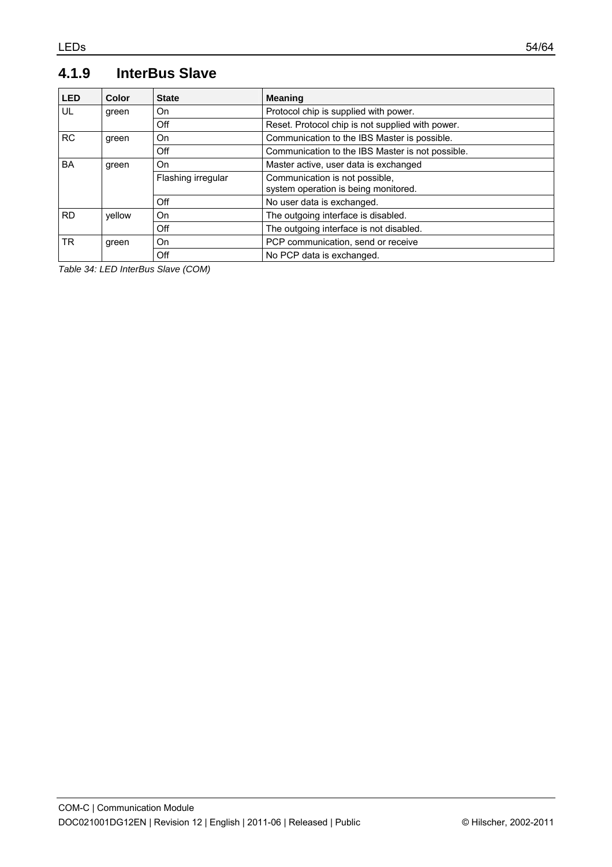## <span id="page-53-0"></span>**4.1.9 InterBus Slave**

| <b>LED</b> | Color  | <b>State</b>       | <b>Meaning</b>                                                         |  |
|------------|--------|--------------------|------------------------------------------------------------------------|--|
| UL         | green  | On                 | Protocol chip is supplied with power.                                  |  |
|            |        | Off                | Reset. Protocol chip is not supplied with power.                       |  |
| <b>RC</b>  | green  | On                 | Communication to the IBS Master is possible.                           |  |
|            |        | Off                | Communication to the IBS Master is not possible.                       |  |
| BA         | green  | On                 | Master active, user data is exchanged                                  |  |
|            |        | Flashing irregular | Communication is not possible,<br>system operation is being monitored. |  |
|            |        | Off                | No user data is exchanged.                                             |  |
| RD.        | vellow | On                 | The outgoing interface is disabled.                                    |  |
|            |        | Off                | The outgoing interface is not disabled.                                |  |
| <b>TR</b>  | green  | On                 | PCP communication, send or receive                                     |  |
|            |        | Off                | No PCP data is exchanged.                                              |  |

*Table 34: LED InterBus Slave (COM)*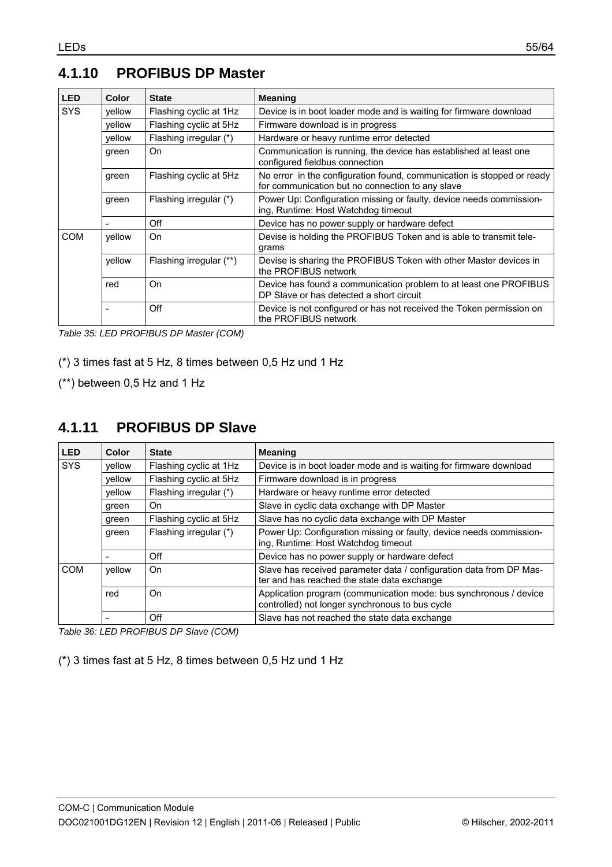| <b>LED</b> | Color                    | <b>State</b>            | <b>Meaning</b>                                                                                                             |  |
|------------|--------------------------|-------------------------|----------------------------------------------------------------------------------------------------------------------------|--|
| <b>SYS</b> | vellow                   | Flashing cyclic at 1Hz  | Device is in boot loader mode and is waiting for firmware download                                                         |  |
|            | vellow                   | Flashing cyclic at 5Hz  | Firmware download is in progress                                                                                           |  |
|            | vellow                   | Flashing irregular (*)  | Hardware or heavy runtime error detected                                                                                   |  |
|            | green                    | On                      | Communication is running, the device has established at least one<br>configured fieldbus connection                        |  |
|            | green                    | Flashing cyclic at 5Hz  | No error in the configuration found, communication is stopped or ready<br>for communication but no connection to any slave |  |
|            | green                    | Flashing irregular (*)  | Power Up: Configuration missing or faulty, device needs commission-<br>ing, Runtime: Host Watchdog timeout                 |  |
|            | $\overline{\phantom{0}}$ | Off                     | Device has no power supply or hardware defect                                                                              |  |
| <b>COM</b> | yellow                   | On                      | Devise is holding the PROFIBUS Token and is able to transmit tele-<br>grams                                                |  |
|            | vellow                   | Flashing irregular (**) | Devise is sharing the PROFIBUS Token with other Master devices in<br>the PROFIBUS network                                  |  |
|            | red                      | On                      | Device has found a communication problem to at least one PROFIBUS<br>DP Slave or has detected a short circuit              |  |
|            |                          | Off                     | Device is not configured or has not received the Token permission on<br>the PROFIBUS network                               |  |

## <span id="page-54-0"></span>**4.1.10 PROFIBUS DP Master**

*Table 35: LED PROFIBUS DP Master (COM)* 

(\*) 3 times fast at 5 Hz, 8 times between 0,5 Hz und 1 Hz

(\*\*) between 0,5 Hz and 1 Hz

### **4.1.11 PROFIBUS DP Slave**

| <b>LED</b> | Color  | <b>State</b>           | <b>Meaning</b>                                                                                                       |  |
|------------|--------|------------------------|----------------------------------------------------------------------------------------------------------------------|--|
| <b>SYS</b> | vellow | Flashing cyclic at 1Hz | Device is in boot loader mode and is waiting for firmware download                                                   |  |
|            | vellow | Flashing cyclic at 5Hz | Firmware download is in progress                                                                                     |  |
|            | vellow | Flashing irregular (*) | Hardware or heavy runtime error detected                                                                             |  |
|            | green  | On                     | Slave in cyclic data exchange with DP Master                                                                         |  |
|            | green  | Flashing cyclic at 5Hz | Slave has no cyclic data exchange with DP Master                                                                     |  |
|            | green  | Flashing irregular (*) | Power Up: Configuration missing or faulty, device needs commission-<br>ing, Runtime: Host Watchdog timeout           |  |
|            |        | Off                    | Device has no power supply or hardware defect                                                                        |  |
| <b>COM</b> | vellow | On                     | Slave has received parameter data / configuration data from DP Mas-<br>ter and has reached the state data exchange   |  |
|            | red    | On                     | Application program (communication mode: bus synchronous / device<br>controlled) not longer synchronous to bus cycle |  |
|            |        | Off                    | Slave has not reached the state data exchange                                                                        |  |

*Table 36: LED PROFIBUS DP Slave (COM)*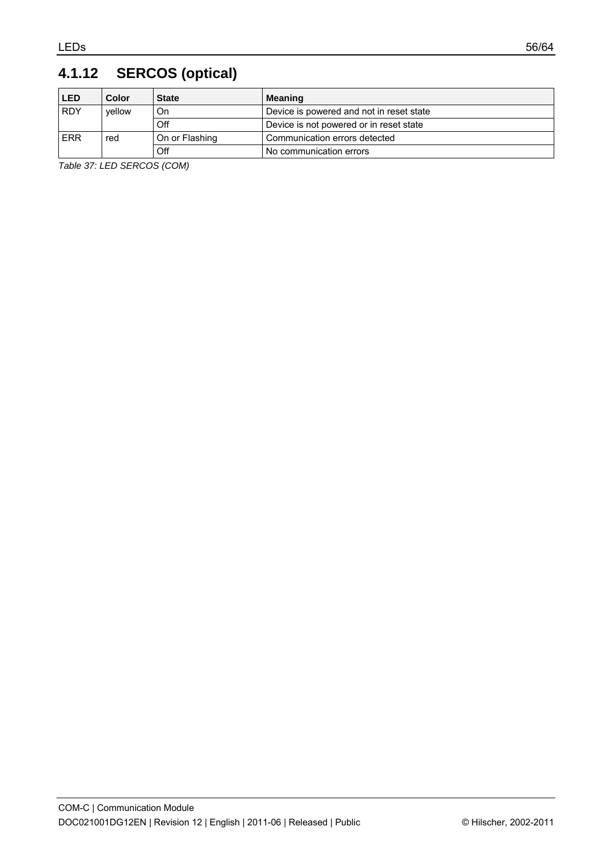## <span id="page-55-0"></span>**4.1.12 SERCOS (optical)**

| <b>LED</b>                 | Color | <b>State</b>   | <b>Meaning</b>                           |  |
|----------------------------|-------|----------------|------------------------------------------|--|
| <b>RDY</b><br>vellow<br>On |       |                | Device is powered and not in reset state |  |
|                            |       | Off            | Device is not powered or in reset state  |  |
| <b>ERR</b>                 | red   | On or Flashing | Communication errors detected            |  |
|                            |       | Off            | No communication errors                  |  |

*Table 37: LED SERCOS (COM)*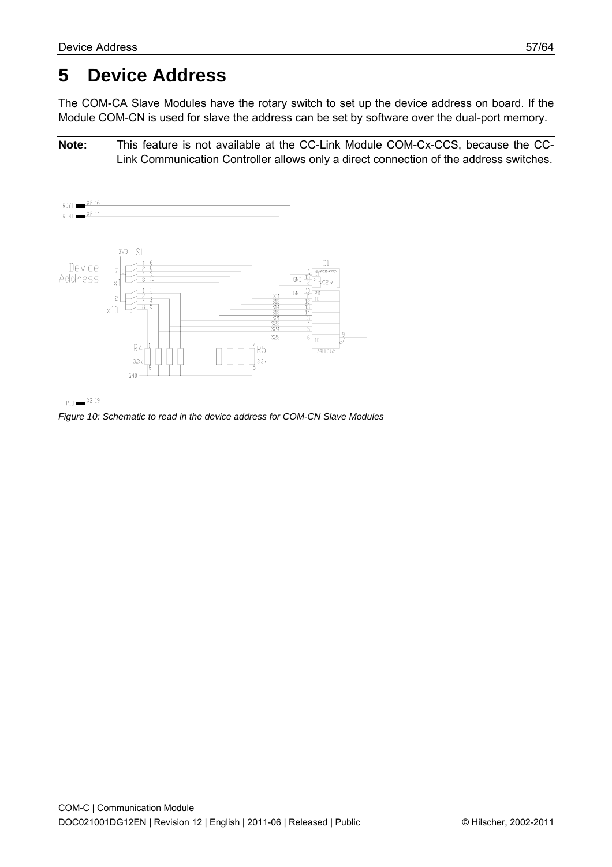# <span id="page-56-0"></span>**5 Device Address**

The COM-CA Slave Modules have the rotary switch to set up the device address on board. If the Module COM-CN is used for slave the address can be set by software over the dual-port memory.

**Note:** This feature is not available at the CC-Link Module COM-Cx-CCS, because the CC-Link Communication Controller allows only a direct connection of the address switches.



*Figure 10: Schematic to read in the device address for COM-CN Slave Modules*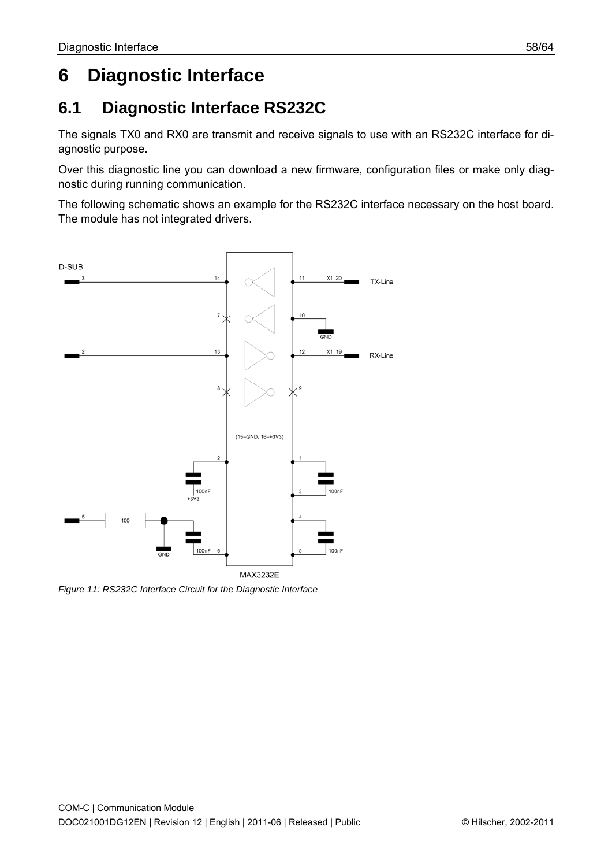# <span id="page-57-0"></span>**6 Diagnostic Interface**

# **6.1 Diagnostic Interface RS232C**

The signals TX0 and RX0 are transmit and receive signals to use with an RS232C interface for diagnostic purpose.

Over this diagnostic line you can download a new firmware, configuration files or make only diagnostic during running communication.

The following schematic shows an example for the RS232C interface necessary on the host board. The module has not integrated drivers.



*Figure 11: RS232C Interface Circuit for the Diagnostic Interface*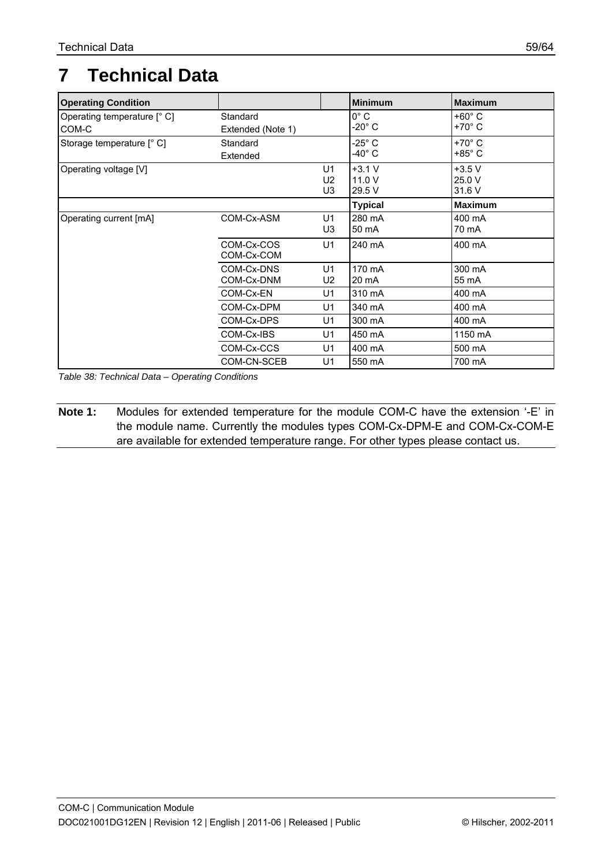# <span id="page-58-0"></span>**7 Technical Data**

| <b>Operating Condition</b>  |                   |                | <b>Minimum</b> | <b>Maximum</b>  |
|-----------------------------|-------------------|----------------|----------------|-----------------|
| Operating temperature [° C] | Standard          |                | $0^{\circ}$ C  | $+60^{\circ}$ C |
| COM-C                       | Extended (Note 1) |                | -20° C         | +70° C          |
| Storage temperature [° C]   | Standard          |                | -25° C         | $+70^\circ$ C   |
|                             | Extended          |                | -40° C         | +85° C          |
| Operating voltage [V]       |                   | U1             | $+3.1 V$       | $+3.5V$         |
|                             |                   | U <sub>2</sub> | 11.0 V         | 25.0 V          |
|                             |                   | U3             | 29.5 V         | 31.6 V          |
|                             |                   |                | <b>Typical</b> | <b>Maximum</b>  |
| Operating current [mA]      | COM-Cx-ASM        | U1             | 280 mA         | 400 mA          |
|                             |                   | U3             | 50 mA          | 70 mA           |
|                             | COM-Cx-COS        | U1             | 240 mA         | 400 mA          |
|                             | COM-Cx-COM        |                |                |                 |
|                             | COM-Cx-DNS        | U1             | 170 mA         | 300 mA          |
|                             | COM-Cx-DNM        | U <sub>2</sub> | 20 mA          | 55 mA           |
|                             | COM-Cx-EN         | U1             | 310 mA         | 400 mA          |
|                             | COM-Cx-DPM        | U1             | 340 mA         | 400 mA          |
|                             | COM-Cx-DPS        | U1             | 300 mA         | 400 mA          |
|                             | COM-Cx-IBS        | U1             | 450 mA         | 1150 mA         |
|                             | COM-Cx-CCS        | U1             | 400 mA         | 500 mA          |
|                             | COM-CN-SCEB       | U1             | 550 mA         | 700 mA          |

*Table 38: Technical Data – Operating Conditions* 

**Note 1:** Modules for extended temperature for the module COM-C have the extension '-E' in the module name. Currently the modules types COM-Cx-DPM-E and COM-Cx-COM-E are available for extended temperature range. For other types please contact us.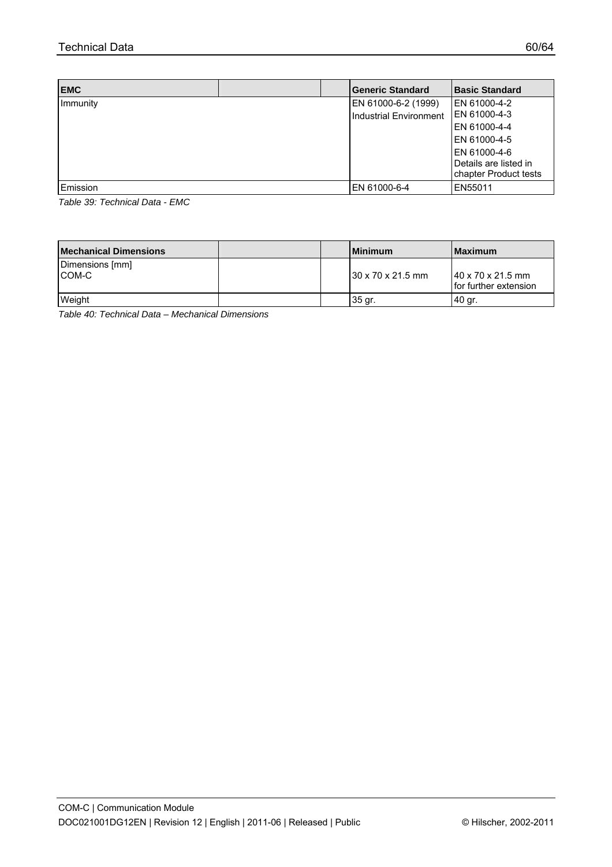<span id="page-59-0"></span>

| <b>EMC</b> | <b>Generic Standard</b>                              | <b>Basic Standard</b>                                                                                                            |
|------------|------------------------------------------------------|----------------------------------------------------------------------------------------------------------------------------------|
| Immunity   | EN 61000-6-2 (1999)<br><b>Industrial Environment</b> | EN 61000-4-2<br>IEN 61000-4-3<br>EN 61000-4-4<br>EN 61000-4-5<br>IEN 61000-4-6<br>Details are listed in<br>chapter Product tests |
| Emission   | EN 61000-6-4                                         | <b>EN55011</b>                                                                                                                   |

*Table 39: Technical Data - EMC* 

| <b>Mechanical Dimensions</b> |  | <b>Minimum</b>                 | <b>Maximum</b>                                          |
|------------------------------|--|--------------------------------|---------------------------------------------------------|
| Dimensions [mm]<br>ICOM-C    |  | $130 \times 70 \times 21.5$ mm | $140 \times 70 \times 21.5$ mm<br>for further extension |
| <b>Weight</b>                |  | 35 gr.                         | 140 gr.                                                 |

*Table 40: Technical Data – Mechanical Dimensions*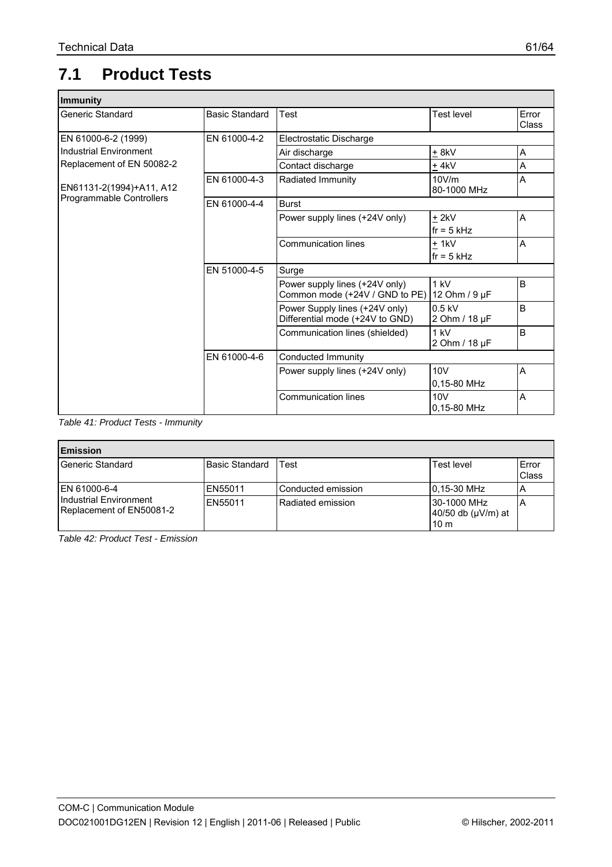# <span id="page-60-0"></span>**7.1 Product Tests**

| <b>Immunity</b>           |                       |                                                                   |                            |                |  |  |
|---------------------------|-----------------------|-------------------------------------------------------------------|----------------------------|----------------|--|--|
| Generic Standard          | <b>Basic Standard</b> | Test                                                              | <b>Test level</b>          | Error<br>Class |  |  |
| EN 61000-6-2 (1999)       | EN 61000-4-2          | Electrostatic Discharge                                           |                            |                |  |  |
| Industrial Environment    |                       | Air discharge                                                     | ± 8kV                      | A              |  |  |
| Replacement of EN 50082-2 |                       | Contact discharge                                                 | $+4kV$                     | A              |  |  |
| EN61131-2(1994)+A11, A12  | EN 61000-4-3          | Radiated Immunity                                                 | 10V/m<br>80-1000 MHz       | A              |  |  |
| Programmable Controllers  | EN 61000-4-4          | <b>Burst</b>                                                      |                            |                |  |  |
|                           |                       | Power supply lines (+24V only)                                    | $+2kV$                     | A              |  |  |
|                           |                       |                                                                   | $fr = 5 kHz$               |                |  |  |
|                           |                       | Communication lines                                               | $±$ 1kV                    | A              |  |  |
|                           |                       |                                                                   | $fr = 5 kHz$               |                |  |  |
|                           | EN 51000-4-5          | Surge                                                             |                            |                |  |  |
|                           |                       | Power supply lines (+24V only)<br>Common mode (+24V / GND to PE)  | 1 kV<br>12 Ohm / $9 \mu F$ | B              |  |  |
|                           |                       | Power Supply lines (+24V only)<br>Differential mode (+24V to GND) | $0.5$ kV<br>2 Ohm / 18 µF  | B              |  |  |
|                           |                       | 1 kV<br>Communication lines (shielded)<br>2 Ohm / 18 µF           |                            | B              |  |  |
|                           | EN 61000-4-6          | Conducted Immunity                                                |                            |                |  |  |
|                           |                       | Power supply lines (+24V only)                                    | 10V                        | A              |  |  |
|                           |                       |                                                                   | 0,15-80 MHz                |                |  |  |
|                           |                       | Communication lines                                               | <b>10V</b><br>0,15-80 MHz  | A              |  |  |

#### *Table 41: Product Tests - Immunity*

| <b>Emission</b>                                    |                       |                    |                                                              |                |
|----------------------------------------------------|-----------------------|--------------------|--------------------------------------------------------------|----------------|
| Generic Standard                                   | <b>Basic Standard</b> | Test               | Test level                                                   | Error<br>Class |
| IEN 61000-6-4                                      | EN55011               | Conducted emission | $0.15-30$ MHz                                                |                |
| Industrial Environment<br>Replacement of EN50081-2 | EN55011               | Radiated emission  | 30-1000 MHz<br>$40/50$ db ( $\mu$ V/m) at<br>10 <sub>m</sub> | ΙA             |

*Table 42: Product Test - Emission*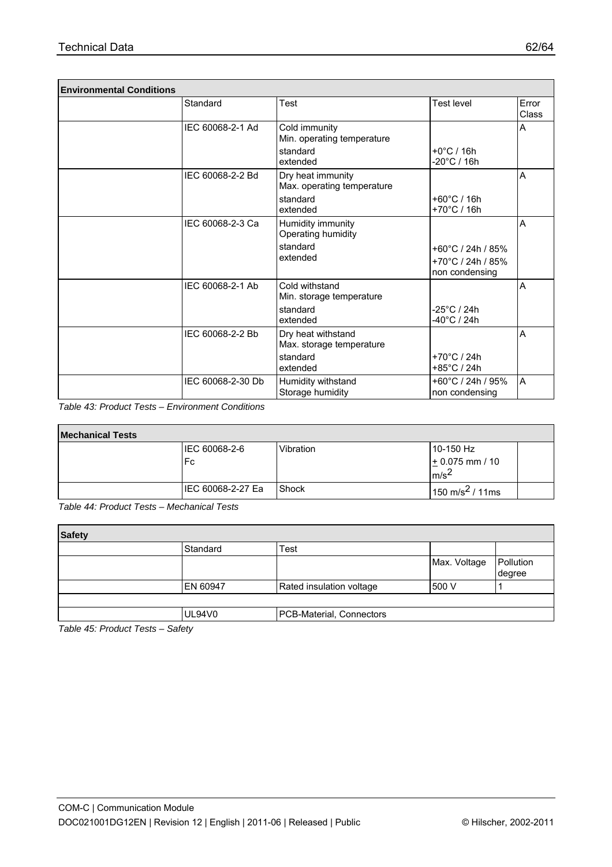<span id="page-61-0"></span>

| <b>Environmental Conditions</b> |                   |                                                                         |                                                          |                |
|---------------------------------|-------------------|-------------------------------------------------------------------------|----------------------------------------------------------|----------------|
|                                 | Standard          | Test                                                                    | <b>Test level</b>                                        | Error<br>Class |
|                                 | IEC 60068-2-1 Ad  | Cold immunity<br>Min. operating temperature<br>standard<br>extended     | $+0^{\circ}$ C / 16h<br>-20°C / 16h                      | A              |
|                                 | IEC 60068-2-2 Bd  | Dry heat immunity<br>Max. operating temperature<br>standard<br>extended | $+60^{\circ}$ C / 16h<br>$+70^{\circ}$ C / 16h           | A              |
|                                 | IEC 60068-2-3 Ca  | Humidity immunity<br>Operating humidity<br>standard<br>extended         | +60°C / 24h / 85%<br>+70°C / 24h / 85%<br>non condensing | A              |
|                                 | IEC 60068-2-1 Ab  | Cold withstand<br>Min. storage temperature<br>standard<br>extended      | -25°C / 24h<br>-40°C / 24h                               | A              |
|                                 | IEC 60068-2-2 Bb  | Dry heat withstand<br>Max. storage temperature<br>standard<br>extended  | +70 $^{\circ}$ C / 24h<br>$+85^{\circ}$ C / 24h          | A              |
|                                 | IEC 60068-2-30 Db | Humidity withstand<br>Storage humidity                                  | +60°C / 24h / 95%<br>non condensing                      | A              |

*Table 43: Product Tests – Environment Conditions* 

#### **Mechanical Tests**

| i Mechanical Tests |                   |              |                             |  |  |  |
|--------------------|-------------------|--------------|-----------------------------|--|--|--|
|                    | IEC 60068-2-6     | Vibration    | l 10-150 Hz                 |  |  |  |
|                    | Fc                |              | $+0.075$ mm / 10<br>$m/s^2$ |  |  |  |
|                    | IEC 60068-2-27 Ea | <b>Shock</b> | $150 \text{ m/s}^2$ / 11ms  |  |  |  |

*Table 44: Product Tests – Mechanical Tests* 

| <b>Safety</b> |          |                          |              |                     |
|---------------|----------|--------------------------|--------------|---------------------|
|               | Standard | Test                     |              |                     |
|               |          |                          | Max. Voltage | Pollution<br>degree |
|               | EN 60947 | Rated insulation voltage | 500 V        |                     |
|               |          |                          |              |                     |
|               | UL94V0   | PCB-Material, Connectors |              |                     |

*Table 45: Product Tests – Safety*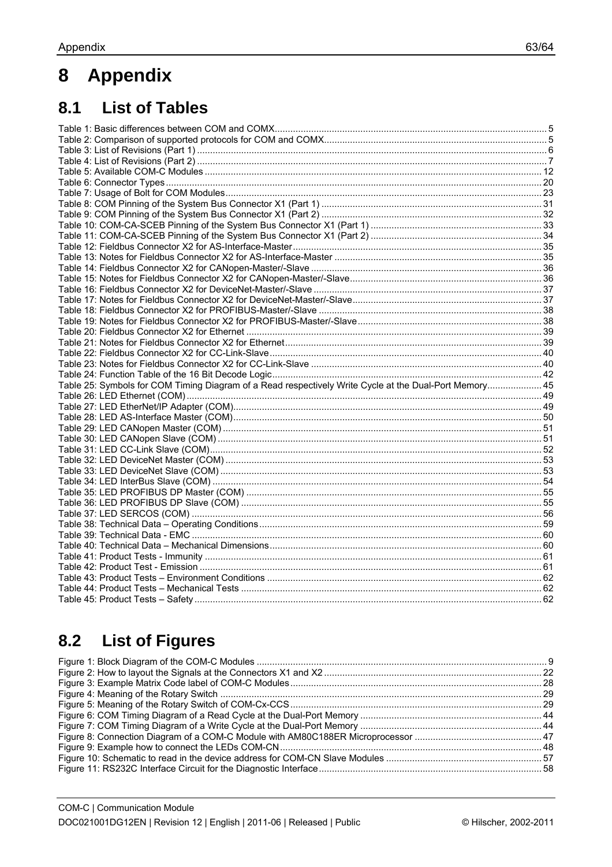#### <span id="page-62-0"></span>8 **Appendix**

#### $8.1$ **List of Tables**

| Table 25: Symbols for COM Timing Diagram of a Read respectively Write Cycle at the Dual-Port Memory 45 |  |
|--------------------------------------------------------------------------------------------------------|--|
|                                                                                                        |  |
|                                                                                                        |  |
|                                                                                                        |  |
|                                                                                                        |  |
|                                                                                                        |  |
|                                                                                                        |  |
|                                                                                                        |  |
|                                                                                                        |  |
|                                                                                                        |  |
|                                                                                                        |  |
|                                                                                                        |  |
|                                                                                                        |  |
|                                                                                                        |  |
|                                                                                                        |  |
|                                                                                                        |  |
|                                                                                                        |  |
|                                                                                                        |  |
|                                                                                                        |  |
|                                                                                                        |  |

#### $8.2$ **List of Figures**